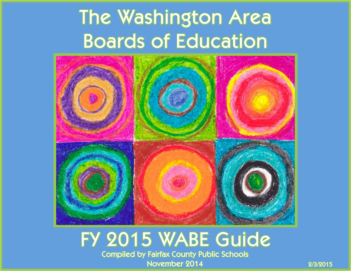# The Washington Area Boards of Education



### FY 2015 WABE Guide Compiled by Fairfax County Public Schools November 2014 2/3/2015

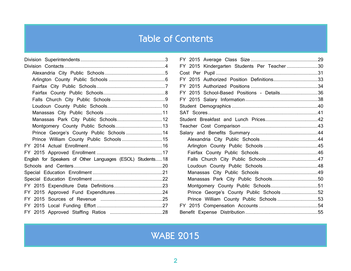### Table of Contents

| Prince George's County Public Schools 14                   |  |
|------------------------------------------------------------|--|
|                                                            |  |
|                                                            |  |
|                                                            |  |
| English for Speakers of Other Languages (ESOL) Students 18 |  |
|                                                            |  |
|                                                            |  |
|                                                            |  |
|                                                            |  |
|                                                            |  |
|                                                            |  |
|                                                            |  |
|                                                            |  |

| FY 2015 Kindergarten Students Per Teacher30 |  |
|---------------------------------------------|--|
|                                             |  |
| FY 2015 Authorized Position Definitions33   |  |
|                                             |  |
| FY 2015 School-Based Positions - Details36  |  |
|                                             |  |
|                                             |  |
|                                             |  |
|                                             |  |
|                                             |  |
|                                             |  |
|                                             |  |
|                                             |  |
|                                             |  |
|                                             |  |
|                                             |  |
|                                             |  |
|                                             |  |
|                                             |  |
| Prince George's County Public Schools52     |  |
| Prince William County Public Schools53      |  |
|                                             |  |
|                                             |  |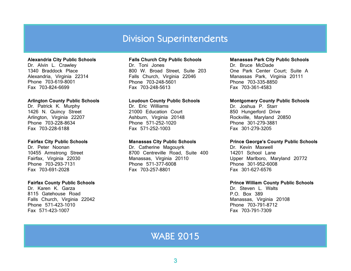#### Division Superintendents

#### <span id="page-2-0"></span>**Alexandria City Public Schools**

Dr. Alvin L. Crawley 1340 Braddock Place Alexandria, Virginia 22314 Phone 703-619-8001 Fax 703-824-6699

#### **Arlington County Public Schools**

Dr. Patrick K. Murphy 1426 N. Quincy Street Arlington, Virginia 22207 Phone 703-228-8634 Fax 703-228-6188

#### **Fairfax City Public Schools**

Dr. Peter Noonan 10455 Armstrong Street Fairfax, Virginia 22030 Phone 703-293-7131 Fax 703-691-2028

#### **Fairfax County Public Schools**

Dr. Karen K. Garza 8115 Gatehouse Road Falls Church, Virginia 22042 Phone 571-423-1010 Fax 571-423-1007

#### **Falls Church City Public Schools**

Dr. Toni Jones 800 W. Broad Street, Suite 203 Falls Church, Virginia 22046 Phone 703-248-5601 Fax 703-248-5613

#### **Loudoun County Public Schools**

Dr. Eric Williams 21000 Education Court Ashburn, Virginia 20148 Phone 571-252-1020 Fax 571-252-1003

#### **Manassas City Public Schools**

Dr. Catherine Magouyrk 8700 Centreville Road, Suite 400 Manassas, Virginia 20110 Phone 571-377-6008 Fax 703-257-8801

#### **Manassas Park City Public Schools**

Dr. Bruce McDade One Park Center Court; Suite A Manassas Park, Virginia 20111 Phone 703-335-8850 Fax 703-361-4583

#### **Montgomery County Public Schools**

Dr. Joshua P. Starr 850 Hungerford Drive Rockville, Maryland 20850 Phone 301-279-3881 Fax 301-279-3205

#### **Prince George's County Public Schools**

Dr. Kevin Maxwell 14201 School Lane Upper Marlboro, Maryland 20772 Phone 301-952-6008 Fax 301-627-6576

#### **Prince William County Public Schools**

Dr. Steven L. Walts P.O. Box 389 Manassas, Virginia 20108 Phone 703-791-8712 Fax 703-791-7309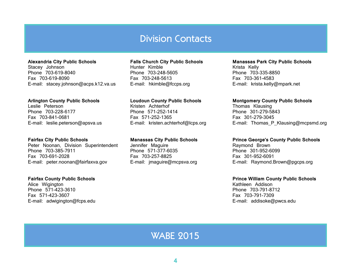#### Division Contacts

#### <span id="page-3-0"></span>**Alexandria City Public Schools**

Stacey Johnson Phone 703-619-8040 Fax 703-619-8090 E-mail: stacey.johnson@acps.k12.va.us

#### **Arlington County Public Schools**

Leslie Peterson Phone 703-228-6177 Fax 703-841-0681 E-mail: leslie.peterson@apsva.us

#### **Fairfax City Public Schools**

Peter Noonan, Division Superintendent Phone 703-385-7911 Fax 703-691-2028 E-mail: peter.noonan@fairfaxva.gov

#### **Fairfax County Public Schools**

Alice Wigington Phone 571-423-3610 Fax 571-423-3607 E-mail: adwigington@fcps.edu

#### **Falls Church City Public Schools**

Hunter Kimble Phone 703-248-5605 Fax 703-248-5613 E-mail: hkimble@fccps.org

#### **Loudoun County Public Schools**

Kristen Achterhof Phone 571-252-1414 Fax 571-252-1365 E-mail: kristen.achterhof@lcps.org

#### **Manassas City Public Schools**

Jennifer Maguire Phone 571-377-6035 Fax 703-257-8825 E-mail: jmaguire@mcpsva.org

#### **Manassas Park City Public Schools**  Krista Kelly

Phone 703-335-8850 Fax 703-361-4583 E-mail: krista.kelly@mpark.net

#### **Montgomery County Public Schools**

Thomas Klausing Phone 301-279-5843 Fax 301-279-3045 E-mail: Thomas P Klausing@mcpsmd.org

#### **Prince George's County Public Schools**

Raymond Brown Phone 301-952-6099 Fax 301-952-6091 E-mail: Raymond.Brown@pgcps.org

#### **Prince William County Public Schools**

Kathleen Addison Phone 703-791-8712 Fax 703-791-7309 E-mail: addisoke@pwcs.edu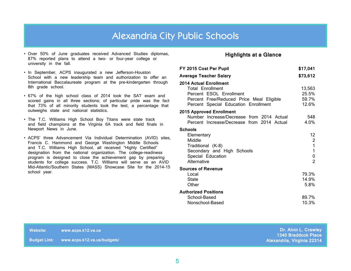#### Alexandria City Public Schools

- <span id="page-4-0"></span>• Over 50% of June graduates received Advanced Studies diplomas, 87% reported plans to attend a two- or four-year college or university in the fall.
- In September, ACPS inaugurated a new Jefferson-Houston School with a new leadership team and authorization to offer an International Baccalaureate program at the pre-kindergarten through 8th grade school.
- 67% of the high school class of 2014 took the SAT exam and scored gains in all three sections; of particular pride was the fact that 73% of all minority students took the test, a percentage that outweighs state and national statistics.
- The T.C. Williams High School Boy Titans were state track and field champions at the Virginia 6A track and field finals in Newport News in June.
- ACPS' three Advancement Via Individual Determination (AVID) sites, Francis C. Hammond and George Washington Middle Schools and T.C. Williams High School, all received "Highly Certified" designation from the national organization. The college-readiness program is designed to close the achievement gap by preparing students for college success. T.C. Williams will serve as an AVID Mid-Atlantic/Southern States (MASS) Showcase Site for the 2014-15 school year.

#### **Highlights at a Glance**

| FY 2015 Cost Per Pupil                                                                                                                                                  | \$17,041                                              |
|-------------------------------------------------------------------------------------------------------------------------------------------------------------------------|-------------------------------------------------------|
| <b>Average Teacher Salary</b>                                                                                                                                           | \$73,612                                              |
| <b>2014 Actual Enrollment</b><br><b>Total Enrollment</b><br>Percent ESOL Enrollment<br>Percent Free/Reduced Price Meal Eligible<br>Percent Special Education Enrollment | 13,563<br>25.5%<br>59.7%<br>12.6%                     |
| <b>2015 Approved Enrollment</b><br>Number Increase/Decrease from 2014 Actual<br>Percent Increase/Decrease from 2014 Actual                                              | 548<br>4.0%                                           |
| <b>Schools</b><br>Elementary<br>Middle<br>Traditional (K-8)<br>Secondary and High Schools<br>Special Education<br>Alternative                                           | 12<br>$\overline{2}$<br>1<br>1<br>0<br>$\overline{2}$ |
| <b>Sources of Revenue</b><br>Local<br><b>State</b><br>Other                                                                                                             | 79.3%<br>14.9%<br>5.8%                                |
| <b>Authorized Positions</b><br>School-Based<br>Nonschool-Based                                                                                                          | 89.7%<br>10.3%                                        |

| Website: | www.acps.k12.va.us                       | Dr. Alvin L. Crawley                                     |
|----------|------------------------------------------|----------------------------------------------------------|
|          | Budget Link: www.acps.k12.va.us/budgets/ | <b>1340 Braddock Place</b><br>Alexandria, Virginia 22314 |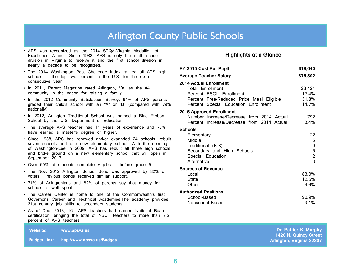#### Arlington County Public Schools

- <span id="page-5-0"></span>• APS was recognized as the 2014 SPQA-Virginia Medallion of Excellence Winner. Since 1983, APS is only the ninth school division in Virginia to receive it and the first school division in nearly a decade to be recognized.
- The 2014 Washington Post Challenge Index ranked all APS high schools in the top two percent in the U.S. for the sixth consecutive year
- In 2011, Parent Magazine rated Arlington, Va. as the #4 community in the nation for raising a family.
- In the 2012 Community Satisfaction Survey, 94% of APS parents graded their child's school with an "A" or "B" (compared with 79% nationally)
- In 2012, Arlington Traditional School was named a Blue Ribbon School by the U.S. Department of Education.
- The average APS teacher has 11 years of experience and 77% have earned a master's degree or higher.
- Since 1988, APS has renewed and/or expanded 24 schools, rebuilt seven schools and one new elementary school. With the opening of Washington-Lee in 2009, APS has rebuilt all three high schools and broke ground on a new elementary school that will open in September 2017.
- Over 60% of students complete Algebra I before grade 9.
- The Nov. 2012 Arlington School Bond was approved by 82% of voters. Previous bonds received similar support.
- 71% of Arlingtonians and 82% of parents say that money for schools is well spent.
- The Career Center is home to one of the Commonwealth's first Governor's Career and Technical Academies.The academy provides 21st century job skills to secondary students.
- As of Dec. 2013, 164 APS teachers had earned National Board certification, bringing the total of NBCT teachers to more than 7.5 percent of APS teachers.

**Website: [www.apsva.us](http://www.apsva.us)**

**Budget Link: http://www.apsva.us/Budget/**

#### **Highlights at a Glance**

| FY 2015 Cost Per Pupil                                                                                                                                                  | \$19,040                                          |
|-------------------------------------------------------------------------------------------------------------------------------------------------------------------------|---------------------------------------------------|
| <b>Average Teacher Salary</b>                                                                                                                                           | \$76,892                                          |
| <b>2014 Actual Enrollment</b><br><b>Total Enrollment</b><br>Percent ESOL Enrollment<br>Percent Free/Reduced Price Meal Eligible<br>Percent Special Education Enrollment | 23,421<br>17.4%<br>31.8%<br>14.7%                 |
| <b>2015 Approved Enrollment</b><br>Number Increase/Decrease from 2014 Actual<br>Percent Increase/Decrease from 2014 Actual                                              | 792<br>3.4%                                       |
| <b>Schools</b><br>Elementary<br>Middle<br>Traditional (K-8)<br>Secondary and High Schools<br>Special Education<br>Alternative                                           | 22<br>5<br>0<br>5<br>$\overline{\mathbf{c}}$<br>3 |
| <b>Sources of Revenue</b><br>Local<br><b>State</b><br>Other                                                                                                             | 83.0%<br>12.5%<br>4.6%                            |
| <b>Authorized Positions</b><br>School-Based<br>Nonschool-Based                                                                                                          | 90.9%<br>9.1%                                     |

**Dr. Patrick K. Murphy 1426 N. Quincy Street Arlington, Virginia 22207**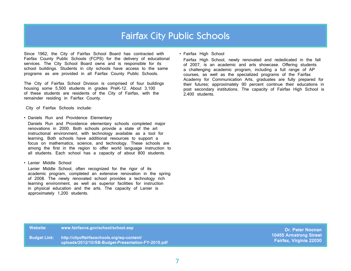#### Fairfax City Public Schools

<span id="page-6-0"></span>Since 1962, the City of Fairfax School Board has contracted with Fairfax County Public Schools (FCPS) for the delivery of educational services. The City School Board owns and is responsible for its school buildings. Students in city schools have access to the same programs as are provided in all Fairfax County Public Schools.

The City of Fairfax School Division is comprised of four buildings housing some 5,500 students in grades PreK-12. About 3,100 of these students are residents of the City of Fairfax, with the remainder residing in Fairfax County.

City of Fairfax Schools include:

• Daniels Run and Providence Elementary

Daniels Run and Providence elementary schools completed major renovations in 2000. Both schools provide a state of the art instructional environment, with technology available as a tool for learning. Both schools have additional resources to support a focus on mathematics, science, and technology. These schools are among the first in the region to offer world language instruction to all students. Each school has a capacity of about 800 students.

• Lanier Middle School

Lanier Middle School, often recognized for the rigor of its academic program, completed an extensive renovation in the spring of 2008. The newly renovated school provides a technology rich learning environment, as well as superior facilities for instruction in physical education and the arts. The capacity of Lanier is approximately 1,200 students.

• Fairfax High School

Fairfax High School, newly renovated and rededicated in the fall of 2007, is an academic and arts showcase. Offering students a challenging academic program, including a full range of AP courses, as well as the specialized programs of the Fairfax Academy for Communication Arts, graduates are fully prepared for their futures; approximately 90 percent continue their educations in post secondary institutions. The capacity of Fairfax High School is 2,400 students.

**Website: [www.fairfaxva.gov/school/school.asp](http://www.fairfaxva.gov/school/school.asp)**

**Budget Link: [http://cityoffairfaxschools.org/wp-content/](http://cityoffairfaxschools.org/wp-content/uploads/2012/10/SB-Budget-Presentation-FY-2014.pdf)   [uploads/2012/10/SB-Budget-Presentation-FY-2015.pdf](http://cityoffairfaxschools.org/wp-content/uploads/2012/10/SB-Budget-Presentation-FY-2014.pdf)**

**Dr. Peter Noonan 10455 Armstrong Street Fairfax, Virginia 22030**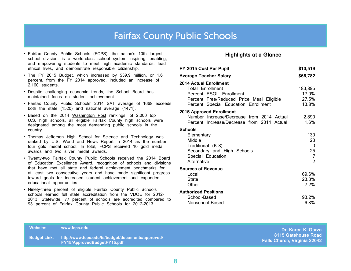#### Fairfax County Public Schools

- <span id="page-7-0"></span>• Fairfax County Public Schools (FCPS), the nation's 10th largest school division, is a world-class school system inspiring, enabling, and empowering students to meet high academic standards, lead ethical lives, and demonstrate responsible citizenship.
- The FY 2015 Budget, which increased by \$39.9 million, or 1.6 percent, from the FY 2014 approved, included an increase of 2,160 students.
- Despite challenging economic trends, the School Board has maintained focus on student achievement.
- Fairfax County Public Schools' 2014 SAT average of 1668 exceeds both the state (1520) and national average (1471).
- Based on the 2014 Washington Post rankings, of 2,000 top U.S. high schools, all eligible Fairfax County high schools were designated among the most demanding public schools in the country.
- Thomas Jefferson High School for Science and Technology was ranked by U.S. World and News Report in 2014 as the number four gold medal school. In total, FCPS received 10 gold medal awards and two silver medal awards.
- Twenty-two Fairfax County Public Schools received the 2014 Board of Education Excellence Award, recognition of schools and divisions that have met all state and federal achievement benchmarks for at least two consecutive years and have made significant progress toward goals for increased student achievement and expanded educational opportunities.
- Ninety-three percent of eligible Fairfax County Public Schools schools earned full state accreditation from the VDOE for 2012- 2013. Statewide, 77 percent of schools are accredited compared to 93 percent of Fairfax County Public Schools for 2012-2013.

#### **Highlights at a Glance**

| FY 2015 Cost Per Pupil                                                                                                                                                  | \$13,519                           |
|-------------------------------------------------------------------------------------------------------------------------------------------------------------------------|------------------------------------|
| <b>Average Teacher Salary</b>                                                                                                                                           | \$66,782                           |
| <b>2014 Actual Enrollment</b><br><b>Total Enrollment</b><br>Percent ESOL Enrollment<br>Percent Free/Reduced Price Meal Eligible<br>Percent Special Education Enrollment | 183,895<br>17.0%<br>27.5%<br>13.8% |
| <b>2015 Approved Enrollment</b><br>Number Increase/Decrease from 2014 Actual<br>Percent Increase/Decrease from 2014 Actual                                              | 2,890<br>1.6%                      |
| <b>Schools</b><br>Elementary<br>Middle<br>Traditional (K-8)<br>Secondary and High Schools<br>Special Education<br>Alternative                                           | 139<br>23<br>0<br>25<br>7<br>2     |
| <b>Sources of Revenue</b><br>Local<br><b>State</b><br>Other                                                                                                             | 69.6%<br>23.3%<br>7.2%             |
| <b>Authorized Positions</b><br>School-Based<br>Nonschool-Based                                                                                                          | 93.2%<br>6.8%                      |

| <b>Website:</b>     | www.fcps.edu                                                                     | Dr. Karen K. Garza                                         |
|---------------------|----------------------------------------------------------------------------------|------------------------------------------------------------|
| <b>Budget Link:</b> | http://www.fcps.edu/fs/budget/documents/approved/<br>FY15/ApprovedBudgetFY15.pdf | 8115 Gatehouse Road<br><b>Falls Church, Virginia 22042</b> |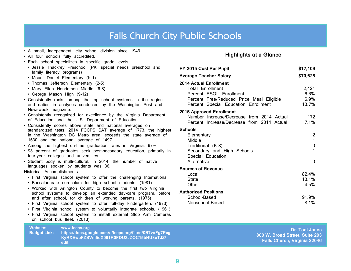### Falls Church City Public Schools

<span id="page-8-0"></span>

| • A small, independent, city school division since 1949.<br>• All four schools fully accredited.<br>· Each school specializes in specific grade levels:                                                                                                                                                                                                                                                                                                                                                                                                                                                                                                                                                                                                                                                                                                                                                                                                                                                                                                                                                                                                                                                                                                                                                                                                                                                                                                                                                                                                                                                                                                                                                   | <b>Highlights at a Glance</b>                                                                                                                                                                                                                                                                                                                                                                                                                                                                                                                                                                                                      |                                                                                                                                                   |
|-----------------------------------------------------------------------------------------------------------------------------------------------------------------------------------------------------------------------------------------------------------------------------------------------------------------------------------------------------------------------------------------------------------------------------------------------------------------------------------------------------------------------------------------------------------------------------------------------------------------------------------------------------------------------------------------------------------------------------------------------------------------------------------------------------------------------------------------------------------------------------------------------------------------------------------------------------------------------------------------------------------------------------------------------------------------------------------------------------------------------------------------------------------------------------------------------------------------------------------------------------------------------------------------------------------------------------------------------------------------------------------------------------------------------------------------------------------------------------------------------------------------------------------------------------------------------------------------------------------------------------------------------------------------------------------------------------------|------------------------------------------------------------------------------------------------------------------------------------------------------------------------------------------------------------------------------------------------------------------------------------------------------------------------------------------------------------------------------------------------------------------------------------------------------------------------------------------------------------------------------------------------------------------------------------------------------------------------------------|---------------------------------------------------------------------------------------------------------------------------------------------------|
| · Jessie Thackrey Preschool (PK, special needs preschool and<br>family literacy programs)<br>• Mount Daniel Elementary (K-1)<br>• Thomas Jefferson Elementary (2-5)<br>• Mary Ellen Henderson Middle (6-8)<br>• George Mason High (9-12)<br>• Consistently ranks among the top school systems in the region<br>and nation in analyses conducted by the Washington Post and<br>Newsweek magazine.<br>• Consistently recognized for excellence by the Virginia Department<br>of Education and the U.S. Department of Education.<br>· Consistently scores above state and national averages on<br>standardized tests. 2014 FCCPS SAT average of 1773, the highest<br>in the Washington DC Metro area, exceeds the state average of<br>1530 and the national average of 1497.<br>• Among the highest on-time graduation rates in Virginia: 97%.<br>· 93 percent of graduates seek post-secondary education, primarily in<br>four-year colleges and universities.<br>· Student body is multi-cultural. In 2014, the number of native<br>languages spoken by students was 36.<br>Historical Accomplishments<br>• First Virginia school system to offer the challenging International<br>• Baccalaureate curriculum for high school students. (1981)<br>• Worked with Arlington County to become the first two Virginia<br>school systems to develop an extended day-care program, before<br>and after school, for children of working parents. (1975)<br>· First Virginia school system to offer full-day kindergarten. (1973)<br>· First Virginia school system to voluntarily integrate schools. (1961)<br>• First Virginia school system to install external Stop Arm Cameras<br>on school bus fleet. (2013) | FY 2015 Cost Per Pupil<br><b>Average Teacher Salary</b><br><b>2014 Actual Enrollment</b><br><b>Total Enrollment</b><br>Percent ESOL Enrollment<br>Percent Free/Reduced Price Meal Eligible<br>Percent Special Education Enrollment<br><b>2015 Approved Enrollment</b><br>Number Increase/Decrease from 2014 Actual<br>Percent Increase/Decrease from 2014 Actual<br><b>Schools</b><br>Elementary<br>Middle<br>Traditional (K-8)<br>Secondary and High Schools<br>Special Education<br>Alternative<br><b>Sources of Revenue</b><br>Local<br><b>State</b><br>Other<br><b>Authorized Positions</b><br>School-Based<br>Nonschool-Based | \$17,109<br>\$70,625<br>2,421<br>6.6%<br>6.9%<br>13.7%<br>172<br>7.1%<br>$\overline{a}$<br>1<br>0<br>0<br>82.4%<br>13.1%<br>4.5%<br>91.9%<br>8.1% |
| <b>Website:</b><br>www.fccps.org<br>https://docs.google.com/a/fccps.org/file/d/0B7vaFg7Pcg<br><b>Budget Link:</b><br>KyRXEweFZSVm5oX091R0FDU3JZOC15bHU3eTJZ/<br>edit                                                                                                                                                                                                                                                                                                                                                                                                                                                                                                                                                                                                                                                                                                                                                                                                                                                                                                                                                                                                                                                                                                                                                                                                                                                                                                                                                                                                                                                                                                                                      | 800 W. Broad Street, Suite 2<br>Falls Church, Virginia 22                                                                                                                                                                                                                                                                                                                                                                                                                                                                                                                                                                          | Dr. Toni Jor                                                                                                                                      |

#### **hts at a Glance**

| Average Teacher Salary                                                                                                                                                  | \$70,625                          |
|-------------------------------------------------------------------------------------------------------------------------------------------------------------------------|-----------------------------------|
| <b>2014 Actual Enrollment</b><br><b>Total Enrollment</b><br>Percent ESOL Enrollment<br>Percent Free/Reduced Price Meal Eligible<br>Percent Special Education Enrollment | 2,421<br>6.6%<br>6.9%<br>13.7%    |
| <b>2015 Approved Enrollment</b><br>Number Increase/Decrease from 2014 Actual<br>Percent Increase/Decrease from 2014 Actual                                              | 172<br>7.1%                       |
| Schools<br>Elementary<br>Middle<br>Traditional (K-8)<br>Secondary and High Schools<br>Special Education<br>Alternative                                                  | 2<br>1<br>0<br>1<br>1<br>$\Omega$ |
| <b>Sources of Revenue</b><br>Local<br><b>State</b><br>Other                                                                                                             | 82.4%<br>13.1%<br>4.5%            |
| Authorized Positions<br>School-Based<br>Nonschool-Based                                                                                                                 | 91.9%<br>8.1%                     |

**Dr. Toni Jones 800 W. Broad Street, Suite 203 Falls Church, Virginia 22046**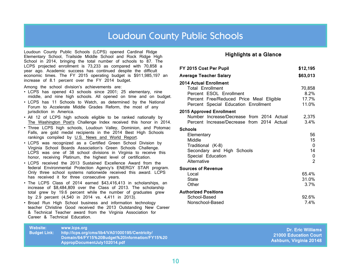#### Loudoun County Public Schools

<span id="page-9-0"></span>Loudoun County Public Schools (LCPS) opened Cardinal Ridge Elementary School, Trailside Middle School and Rock Ridge High School in 2014, bringing the total number of schools to 87. The LCPS projected enrollment is 73,233 as compared with 70,858 a year ago. Academic success has continued despite the difficult economic times. The FY 2015 operating budget is \$911,985,197 an increase of 8.1 percent over the FY 2014 budget.

Among the school division's achievements are:

- LCPS has opened 43 schools since 2001; 25 elementary, nine middle, and nine high schools. All opened on time and on budget.
- LCPS has 11 Schools to Watch, as determined by the National Forum to Accelerate Middle Grades Reform, the most of any jurisdiction in America.
- All 12 of LCPS high schools eligible to be ranked nationally by The Washington Post's Challenge Index received this honor in 2014.
- Three LCPS high schools, Loudoun Valley, Dominion, and Potomac Falls, are gold medal recipients in the 2014 Best High Schools rankings compiled by U.S. News and World Report.
- LCPS was recognized as a Certified Green School Division by Virginia School Boards Association's Green Schools Challenge. LCPS was one of 38 school divisions in Virginia to receive this honor, receiving Platinum, the highest level of certification.
- LCPS received the 2013 Sustained Excellence Award from the federal Environmental Protection Agency's ENERGY STAR program. Only three school systems nationwide received this award. LCPS has received it for three consecutive years.
- The LCPS Class of 2014 earned \$43,416,413 in scholarships, an increase of \$8,484,809 over the Class of 2013. The scholarship total grew by 19.6 percent while the number of graduates grew by 2.9 percent (4,540 in 2014 vs. 4,411 in 2013).
- Broad Run High School business and information technology teacher Christine Good received the 2013 Outstanding New Career & Technical Teacher award from the Virginia Association for Career & Technical Education.

#### **Highlights at a Glance**

| FY 2015 Cost Per Pupil                                                                                                                                                  | \$12,195                                   |
|-------------------------------------------------------------------------------------------------------------------------------------------------------------------------|--------------------------------------------|
| <b>Average Teacher Salary</b>                                                                                                                                           | \$63,013                                   |
| <b>2014 Actual Enrollment</b><br><b>Total Enrollment</b><br>Percent ESOL Enrollment<br>Percent Free/Reduced Price Meal Eligible<br>Percent Special Education Enrollment | 70,858<br>8.2%<br>17.7%<br>11.0%           |
| <b>2015 Approved Enrollment</b><br>Number Increase/Decrease from 2014 Actual<br>Percent Increase/Decrease from 2014 Actual                                              | 2,375<br>3.4%                              |
| <b>Schools</b><br>Elementary<br>Middle<br>Traditional (K-8)<br>Secondary and High Schools<br>Special Education<br>Alternative                                           | 56<br>15<br>0<br>14<br>0<br>$\overline{2}$ |
| <b>Sources of Revenue</b><br>Local<br><b>State</b><br>Other                                                                                                             | 65.4%<br>31.0%<br>3.7%                     |
| <b>Authorized Positions</b><br>School-Based<br>Nonschool-Based                                                                                                          | 92.6%<br>7.4%                              |

| Website:            | www.lcps.org                                    |
|---------------------|-------------------------------------------------|
| <b>Budget Link:</b> | http://lcps.org/cms/lib4/VA01000195/Centricity/ |
|                     | Domain/64/FY15%20Budget%20Information/FY15%20   |
|                     | AppropDocumentJuly102014.pdf                    |

**Dr. Eric Williams 21000 Education Court Ashburn, Virginia 20148**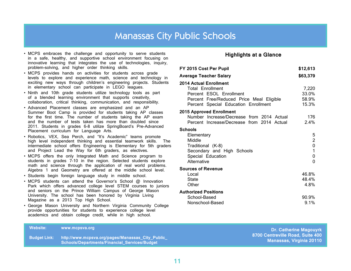#### Manassas City Public Schools

- <span id="page-10-0"></span>• MCPS embraces the challenge and opportunity to serve students in a safe, healthy, and supportive school environment focusing on innovative learning that integrates the use of technologies, inquiry, problem-solving, and higher order thinking skills.
- MCPS provides hands on activities for students across grade levels to explore and experience math, science and technology in exciting new ways through children's engineering projects. Students in elementary school can participate in LEGO leagues.
- Ninth and 10th grade students utilize technology tools as part of a blended learning environment that supports creativity, collaboration, critical thinking, communication, and responsibility.
- Advanced Placement classes are emphasized and an AP Summer Boot Camp is provided for students taking AP classes for the first time. The number of students taking the AP exam and the number of tests taken has more than doubled since 2011. Students in grades 6-8 utilize SpringBoard's Pre-Advanced Placement curriculum for Language Arts.
- Robotics, VEX, Sea Perch, and "It's Academic" teams promote high level independent thinking and essential teamwork skills. The intermediate school offers Engineering is Elementary for 5th graders and Project Lead the Way for 6th graders, as electives.
- MCPS offers the only Integrated Math and Science program to students in grades 7-10 in the region. Selected students explore math and science through the application of real world problems. Algebra 1 and Geometry are offered at the middle school level.
- Students begin foreign language study in middle school.
- MCPS students can attend the Governor's School @ Innovation Park which offers advanced college level STEM courses to juniors and seniors on the Prince William Campus of George Mason University. The school has been honored by Virginia Living Magazine as a 2013 Top High School.
- George Mason University and Northern Virginia Community College provide opportunities for students to experience college level academics and obtain college credit, while in high school.

#### **Highlights at a Glance**

| FY 2015 Cost Per Pupil                                                                                                                                                  | \$12,613                                |
|-------------------------------------------------------------------------------------------------------------------------------------------------------------------------|-----------------------------------------|
| <b>Average Teacher Salary</b>                                                                                                                                           | \$63,379                                |
| <b>2014 Actual Enrollment</b><br><b>Total Enrollment</b><br>Percent ESOL Enrollment<br>Percent Free/Reduced Price Meal Eligible<br>Percent Special Education Enrollment | 7,220<br>33.0%<br>58.9%<br>15.3%        |
| <b>2015 Approved Enrollment</b><br>Number Increase/Decrease from 2014 Actual<br>Percent Increase/Decrease from 2014 Actual                                              | 176<br>2.4%                             |
| <b>Schools</b><br>Elementary<br>Middle<br>Traditional (K-8)<br>Secondary and High Schools<br>Special Education<br>Alternative                                           | 5<br>2<br>0<br>1<br>0<br>0              |
| <b>Sources of Revenue</b><br>Local<br><b>State</b><br>Other<br><b>Authorized Positions</b><br>School-Based<br>Nonschool-Based                                           | 46.8%<br>48.4%<br>4.8%<br>90.9%<br>9.1% |
|                                                                                                                                                                         |                                         |

**Website: www.mcpsva.org**

**Budget Link: http://www.mcpsva.org/pages/Manassas\_City\_Public\_ Schools/Departments/Financial\_Services/Budget**

**Dr. Catherine Magouyrk 8700 Centreville Road, Suite 400 Manassas, Virginia 20110**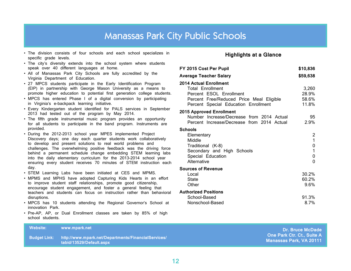#### Manassas Park City Public Schools

- <span id="page-11-0"></span>• The division consists of four schools and each school specializes in specific grade levels.
- The city's diversity extends into the school system where students speak over 40 different languages at home.
- All of Manassas Park City Schools are fully accredited by the Virginia Department of Education.
- 27 MPCS students participate in the Early Identification Program (EIP) in partnership with George Mason University as a means to promote higher education to potential first generation college students.
- MPCS has entered Phase I of a digital conversion by participating in Virginia's e-backpack learning initiative.
- Every Kindergarten student identified for PALS services in September 2013 had tested out of the program by May 2014.
- The fifth grade instrumental music program provides an opportunity for all students to participate in the band program. Instruments are provided.
- During the 2012-2013 school year MPES implemented Project Discovery days; one day each quarter students work collaboratively to develop and present solutions to real world problems and challenges. The overwhelming positive feedback was the driving force behind a permanent schedule change embedding STEM learning labs into the daily elementary curriculum for the 2013-2014 school year ensuring every student receives 70 minutes of STEM instruction each day.
- STEM Learning Labs have been initiated at CES and MPMS.
- MPMS and MPHS have adopted Capturing Kids Hearts in an effort to improve student staff relationships, promote good citizenship, encourage student engagement, and foster a general feeling that teachers and students can focus on instruction rather than behavioral disruptions.
- MPCS has 10 students attending the Regional Governor's School at innovation Park.
- Pre-AP, AP, or Dual Enrollment classes are taken by 85% of high school students.

#### **Highlights at a Glance**

| <b>Average Teacher Salary</b><br><b>2014 Actual Enrollment</b><br><b>Total Enrollment</b><br>Percent ESOL Enrollment          | \$59,638<br>3,260<br>28.9%<br>58.6%<br>11.8% |
|-------------------------------------------------------------------------------------------------------------------------------|----------------------------------------------|
|                                                                                                                               |                                              |
| Percent Free/Reduced Price Meal Eligible<br>Percent Special Education Enrollment                                              |                                              |
| <b>2015 Approved Enrollment</b><br>Number Increase/Decrease from 2014 Actual<br>Percent Increase/Decrease from 2014 Actual    | 95<br>2.9%                                   |
| <b>Schools</b><br>Elementary<br>Middle<br>Traditional (K-8)<br>Secondary and High Schools<br>Special Education<br>Alternative | 2<br>1<br>0<br>1<br>0<br>0                   |
| <b>Sources of Revenue</b><br>Local<br><b>State</b><br>Other<br><b>Authorized Positions</b><br>School-Based<br>Nonschool-Based | 30.2%<br>60.2%<br>9.6%<br>91.3%<br>8.7%      |

| Website: | www.mpark.net                                                                                                | <b>Dr. Bruce McDade</b>                                       |
|----------|--------------------------------------------------------------------------------------------------------------|---------------------------------------------------------------|
|          | ,Budget Link:  http://www.mpark.net/Departments/FinancialServices/             '<br>tabid/13529/Default.aspx | <b>One Park Ctr. Ct., Suite A</b><br>Manassas Park, VA 20111, |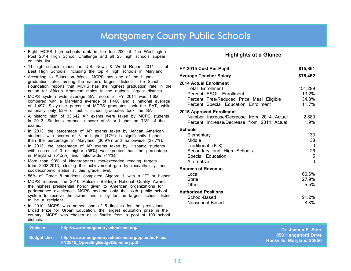### **Montgomery County Public Schools**

- <span id="page-12-0"></span>• Eight MCPS high schools rank in the top 200 of The Washington Post 2014 High School Challenge and all 25 high schools appear on this list.
- 11 high schools made the U.S. News & World Report 2014 list of Best High Schools, including the top 4 high schools in Maryland.
- According to Education Week, MCPS has one of the highest graduation rates among the nation's largest districts. The Schott Foundation reports that MCPS has the highest graduation rate in the nation for African American males in the nation's largest districts.
- MCPS system wide average SAT score in FY 2014 was 1,650 compared with a Maryland average of 1,468 and a national average of 1,497. Sixty-nine percent of MCPS graduates took the SAT, while nationally only 52% of public school graduates took the SAT.
- A historic high of 33,642 AP exams were taken by MCPS students in 2013. Students earned a score of 3 or higher on 73% of the exams.
- In 2013, the percentage of AP exams taken by African American students with scores of 3 or higher (47%) is significantly higher than the percentage in Maryland (30.9%) and nationwide (27.7%).
- In 2013, the percentage of AP exams taken by Hispanic students with scores of 3 or higher (56%) was greater than the percentage in Maryland (51.2%) and nationwide (41%).
- More than 90% of kindergartners met/exceeded reading targets from 2008-2013, closing the achievement gap by race/ethnicity, and socioeconomic status at this grade level.
- 56% of Grade 8 students completed Algebra 1 with a "C" or higher.
- MCPS received the 2010 Malcolm Baldrige National Quality Award, the highest presidential honor given to American organizations for performance excellence. MCPS became only the sixth public school system to receive the award and is by far the largest school district to be a recipient.
- In 2010, MCPS was named one of 5 finalists for the prestigious Broad Prize for Urban Education, the largest education prize in the country. MCPS was chosen as a finalist from a pool of 100 school districts.

#### **Highlights at a Glance**

| FY 2015 Cost Per Pupil                                                                                                                                                  | \$15,351                              |
|-------------------------------------------------------------------------------------------------------------------------------------------------------------------------|---------------------------------------|
| <b>Average Teacher Salary</b>                                                                                                                                           | \$75,452                              |
| <b>2014 Actual Enrollment</b><br><b>Total Enrollment</b><br>Percent ESOL Enrollment<br>Percent Free/Reduced Price Meal Eligible<br>Percent Special Education Enrollment | 151,289<br>13.2%<br>34.3%<br>11.7%    |
| <b>2015 Approved Enrollment</b><br>Number Increase/Decrease from 2014 Actual<br>Percent Increase/Decrease from 2014 Actual                                              | 2,889<br>1.9%                         |
| Schools<br>Elementary<br>Middle<br>Traditional (K-8)<br>Secondary and High Schools<br>Special Education<br>Alternative                                                  | 133<br>38<br>0<br>26<br>5<br>$\Omega$ |
| <b>Sources of Revenue</b><br>Local<br><b>State</b><br>Other                                                                                                             | 66.6%<br>27.9%<br>5.5%                |
| <b>Authorized Positions</b><br>School-Based<br>Nonschool-Based                                                                                                          | 91.2%<br>8.8%                         |

tarr

| <b>Website:</b> | ا /http://www.montgomeryschoolsmd.org                                                    | <b>Dr. Joshua P. Starr</b>                               |
|-----------------|------------------------------------------------------------------------------------------|----------------------------------------------------------|
| ∟Budget Link: ∃ | http://www.montgomeryschoolsmd.org/uploadedFiles/ \<br>FY2015_OperatingBudgetSummary.pdf | 850 Hungerford Drive<br><b>Rockville, Maryland 20850</b> |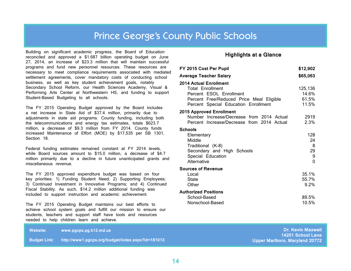#### Prince George's County Public Schools

<span id="page-13-0"></span>Building on significant academic progress, the Board of Education reconciled and approved a \$1.687 billion operating budget on June 27, 2014, an increase of \$23.3 million that will maintain successful programs and fund new personnel resources. These resources are necessary to meet compliance requirements associated with mediated settlement agreements, cover mandatory costs of conducting school business, as well as key student achievement goals, notably Secondary School Reform, our Health Sciences Academy, Visual & Performing Arts Center at Northwestern HS, and funding to support Student-Based Budgeting to all schools.

The FY 2015 Operating Budget approved by the Board includes a net increase in State Aid of \$37.4 million, primarily due to adjustments in state aid programs. County funding, including both the telecommunications and energy tax estimates, totals \$623.7 million, a decrease of \$9.3 million from FY 2014. County funds increased Maintenance of Effort (MOE) by \$17,535 per SB 1301, Section 18

Federal funding estimates remained constant at FY 2014 levels, while Board sources amount to \$15.0 million, a decrease of \$4.7 million primarily due to a decline in future unanticipated grants and miscellaneous revenue.

The FY 2015 approved expenditure budget was based on four key priorities: 1) Funding Student Need; 2) Supporting Employees; 3) Continued Investment in Innovative Programs; and 4) Continued Fiscal Stability. As such, \$14.2 million additional funding was included to support instruction and academic achievement.

The FY 2015 Operating Budget maintains our best efforts to achieve school system goals and fulfill our mission to ensure our students, teachers and support staff have tools and resources needed to help children learn and achieve.

**Website: [www.pgcps.pg.k12.md.us](http://www.pgcps.pg.k12.md.us)**

**Budget Link: http://www1.pgcps.org/budget/index.aspx?id=181013**

#### **Highlights at a Glance**

| FY 2015 Cost Per Pupil                                                                                                                                                  | \$12,902                           |
|-------------------------------------------------------------------------------------------------------------------------------------------------------------------------|------------------------------------|
| <b>Average Teacher Salary</b>                                                                                                                                           | \$65,063                           |
| <b>2014 Actual Enrollment</b><br><b>Total Enrollment</b><br>Percent ESOL Enrollment<br>Percent Free/Reduced Price Meal Eligible<br>Percent Special Education Enrollment | 125,136<br>14.6%<br>61.5%<br>11.5% |
| <b>2015 Approved Enrollment</b><br>Number Increase/Decrease from 2014 Actual<br>Percent Increase/Decrease from 2014 Actual                                              | 2919<br>2.3%                       |
| <b>Schools</b><br>Elementary<br>Middle<br>Traditional (K-8)<br>Secondary and High Schools<br>Special Education<br>Alternative                                           | 128<br>24<br>8<br>29<br>9<br>0     |
| <b>Sources of Revenue</b><br>Local<br><b>State</b><br>Other                                                                                                             | 35.1%<br>55.7%<br>9.2%             |
| <b>Authorized Positions</b><br>School-Based<br>Nonschool-Based                                                                                                          | 89.5%<br>10.5%                     |

**Dr. Kevin Maxwell 14201 School Lane Upper Marlboro, Maryland 20772**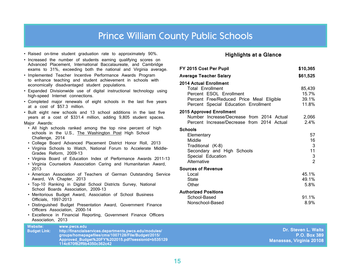#### Prince William County Public Schools

- <span id="page-14-0"></span>• Raised on-time student graduation rate to approximately 90%.
- Increased the number of students earning qualifying scores on Advanced Placement, International Baccalaureate, and Cambridge exams to 31%, exceeding both the national and Virginia average.
- Implemented Teacher Incentive Performance Awards Program to enhance teaching and student achievement in schools with economically disadvantaged student populations.
- Expanded Divisionwide use of digital instructional technology using high-speed Internet connections.
- Completed major renewals of eight schools in the last five years at a cost of \$57.3 million.
- Built eight new schools and 13 school additions in the last five years at a cost of \$331.4 million, adding 9,805 student spaces. Major Awards:
- All high schools ranked among the top nine percent of high schools in the U.S., The Washington Post High School Challenge, 2014
- College Board Advanced Placement District Honor Roll, 2013
- Virginia Schools to Watch, National Forum to Accelerate Middle-Grades Reform, 2009–13
- Virginia Board of Education Index of Performance Awards 2011-13
- Virginia Counselors Association Caring and Humanitarian Award, 2013
- American Association of Teachers of German Outstanding Service Award, VA Chapter, 2013
- Top-10 Ranking in Digital School Districts Survey, National School Boards Association, 2009-13
- Meritorious Budget Award, Association of School Business Officials, 1997-2013

 **114c670f82ff9b4350c362c42**

**Website: [www.pwcs.edu](http://www.pwcs.edu)**

- Distinguished Budget Presentation Award, Government Finance Officers Association, 2000-14
- Excellence in Financial Reporting, Government Finance Officers Association, 2013

**Budget Link: http://financialservices.departments.pwcs.edu/modules/ groups/homepagefiles/cms/1007128/File/Budget/2015/ Approved\_Budget%20FY%202015.pdf?sessionid=b535129**

#### **Highlights at a Glance**

| FY 2015 Cost Per Pupil                                                                                                                                           | \$10,365                                   |
|------------------------------------------------------------------------------------------------------------------------------------------------------------------|--------------------------------------------|
| Average Teacher Salary                                                                                                                                           | \$61,525                                   |
| 2014 Actual Enrollment<br><b>Total Enrollment</b><br>Percent ESOL Enrollment<br>Percent Free/Reduced Price Meal Eligible<br>Percent Special Education Enrollment | 85,439<br>15.7%<br>39.1%<br>11.8%          |
| <b>2015 Approved Enrollment</b><br>Number Increase/Decrease from 2014 Actual<br>Percent Increase/Decrease from 2014 Actual                                       | 2,066<br>2.4%                              |
| Schools<br>Elementary<br>Middle<br>Traditional (K-8)<br>Secondary and High Schools<br>Special Education<br>Alternative                                           | 57<br>16<br>3<br>11<br>3<br>$\overline{2}$ |
| <b>Sources of Revenue</b><br>Local<br><b>State</b><br>Other                                                                                                      | 45.1%<br>49.1%<br>5.8%                     |
| <b>Authorized Positions</b><br>School-Based<br>Nonschool-Based                                                                                                   | 91.1%<br>8.9%                              |

**Dr. Steven L. Walts P.O. Box 389 Manassas, Virginia 20108**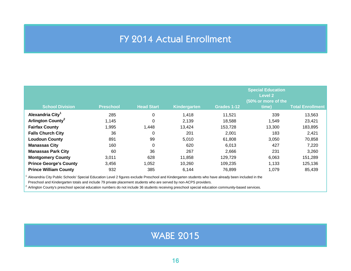#### FY 2014 Actual Enrollment

<span id="page-15-0"></span>

| <b>School Division</b>        | <b>Preschool</b> | <b>Head Start</b> | Kindergarten | Grades 1-12 | <b>Special Education</b><br><b>Level 2</b><br>(50% or more of the<br>time) | <b>Total Enrollment</b> |
|-------------------------------|------------------|-------------------|--------------|-------------|----------------------------------------------------------------------------|-------------------------|
| Alexandria City <sup>1</sup>  | 285              | 0                 | 1,418        | 11,521      | 339                                                                        | 13,563                  |
| Arlington County <sup>2</sup> | 1,145            | $\Omega$          | 2,139        | 18,588      | 1.549                                                                      | 23,421                  |
| <b>Fairfax County</b>         | 1,995            | 1,448             | 13,424       | 153,728     | 13,300                                                                     | 183,895                 |
| <b>Falls Church City</b>      | 36               | 0                 | 201          | 2,001       | 183                                                                        | 2,421                   |
| <b>Loudoun County</b>         | 891              | 99                | 5,010        | 61,808      | 3,050                                                                      | 70,858                  |
| <b>Manassas City</b>          | 160              | 0                 | 620          | 6,013       | 427                                                                        | 7,220                   |
| <b>Manassas Park City</b>     | 60               | 36                | 267          | 2,666       | 231                                                                        | 3,260                   |
| <b>Montgomery County</b>      | 3,011            | 628               | 11,858       | 129,729     | 6,063                                                                      | 151,289                 |
| <b>Prince George's County</b> | 3,456            | 1,052             | 10,260       | 109,235     | 1,133                                                                      | 125,136                 |
| <b>Prince William County</b>  | 932              | 385               | 6,144        | 76,899      | 1,079                                                                      | 85,439                  |

<sup>1</sup> Alexandria City Public Schools' Special Education Level 2 figures exclude Preschool and Kindergarten students who have already been included in the

Preschool and Kindergarten totals and include 79 private placement students who are served by non-ACPS providers.

 $2$  Arlington County's preschool special education numbers do not include 36 students receiving preschool special education community-based services.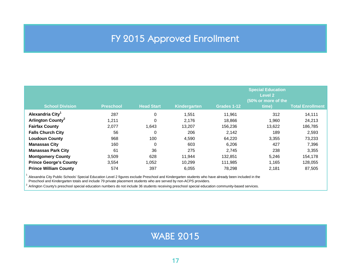### FY 2015 Approved Enrollment

<span id="page-16-0"></span>

| <b>School Division</b>        | <b>Preschool</b> | <b>Head Start</b> | Kindergarten | Grades 1-12 | <b>Special Education</b><br><b>Level 2</b><br>(50% or more of the<br>time) | <b>Total Enrollment</b> |
|-------------------------------|------------------|-------------------|--------------|-------------|----------------------------------------------------------------------------|-------------------------|
| Alexandria City <sup>1</sup>  | 287              | 0                 | 1,551        | 11,961      | 312                                                                        | 14,111                  |
| Arlington County <sup>2</sup> | 1,211            | 0                 | 2,176        | 18,866      | 1,960                                                                      | 24,213                  |
| <b>Fairfax County</b>         | 2,077            | 1,643             | 13,207       | 156,236     | 13,622                                                                     | 186,785                 |
| <b>Falls Church City</b>      | 56               | 0                 | 206          | 2,142       | 189                                                                        | 2,593                   |
| <b>Loudoun County</b>         | 968              | 100               | 4,590        | 64.220      | 3,355                                                                      | 73,233                  |
| <b>Manassas City</b>          | 160              | 0                 | 603          | 6,206       | 427                                                                        | 7,396                   |
| <b>Manassas Park City</b>     | 61               | 36                | 275          | 2.745       | 238                                                                        | 3,355                   |
| <b>Montgomery County</b>      | 3,509            | 628               | 11,944       | 132,851     | 5,246                                                                      | 154,178                 |
| <b>Prince George's County</b> | 3,554            | 1,052             | 10,299       | 111,985     | 1,165                                                                      | 128,055                 |
| <b>Prince William County</b>  | 574              | 397               | 6,055        | 78,298      | 2,181                                                                      | 87,505                  |

<sup>1</sup> Alexandria City Public Schools' Special Education Level 2 figures exclude Preschool and Kindergarten students who have already been included in the

Preschool and Kindergarten totals and include 79 private placement students who are served by non-ACPS providers.

<sup>2</sup> Arlington County's preschool special education numbers do not include 36 students receiving preschool special education community-based services.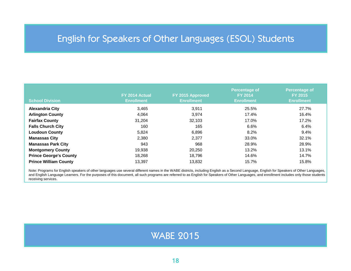### <span id="page-17-0"></span>English for Speakers of Other Languages (ESOL) Students

| <b>School Division</b>        | FY 2014 Actual<br><b>Enrollment</b> | FY 2015 Approved<br><b>Enrollment</b> | <b>Percentage of</b><br><b>FY 2014</b><br><b>Enrollment</b> | <b>Percentage of</b><br><b>FY 2015</b><br><b>Enrollment</b> |
|-------------------------------|-------------------------------------|---------------------------------------|-------------------------------------------------------------|-------------------------------------------------------------|
| <b>Alexandria City</b>        | 3,465                               | 3.911                                 | 25.5%                                                       | 27.7%                                                       |
| <b>Arlington County</b>       | 4.064                               | 3,974                                 | 17.4%                                                       | 16.4%                                                       |
| <b>Fairfax County</b>         | 31,204                              | 32,103                                | 17.0%                                                       | 17.2%                                                       |
| <b>Falls Church City</b>      | 160                                 | 165                                   | 6.6%                                                        | 6.4%                                                        |
| <b>Loudoun County</b>         | 5,824                               | 6,896                                 | 8.2%                                                        | 9.4%                                                        |
| <b>Manassas City</b>          | 2,380                               | 2,377                                 | 33.0%                                                       | 32.1%                                                       |
| <b>Manassas Park City</b>     | 943                                 | 968                                   | 28.9%                                                       | 28.9%                                                       |
| <b>Montgomery County</b>      | 19,938                              | 20,250                                | 13.2%                                                       | 13.1%                                                       |
| <b>Prince George's County</b> | 18,268                              | 18.796                                | 14.6%                                                       | 14.7%                                                       |
| <b>Prince William County</b>  | 13,397                              | 13,832                                | 15.7%                                                       | 15.8%                                                       |

Note: Programs for English speakers of other languages use several different names in the WABE districts, including English as a Second Language, English for Speakers of Other Languages, and English Language Learners. For the purposes of this document, all such programs are referred to as English for Speakers of Other Languages, and enrollment includes only those students receiving services.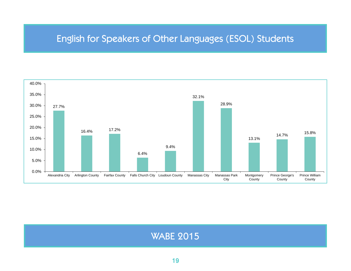#### English for Speakers of Other Languages (ESOL) Students

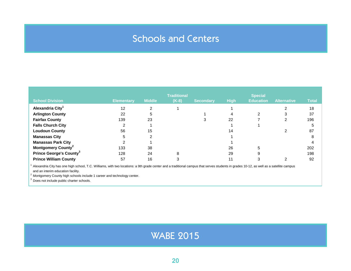### Schools and Centers

<span id="page-19-0"></span>

| <b>School Division</b>                    | <b>Elementary</b> | <b>Middle</b> | <b>Traditional</b><br>$(K-8)$ | <b>Secondary</b> | <b>High</b> | <b>Special</b><br><b>Education</b> | <b>Alternative</b> | <b>Total</b> |
|-------------------------------------------|-------------------|---------------|-------------------------------|------------------|-------------|------------------------------------|--------------------|--------------|
| Alexandria City <sup>1</sup>              | 12                | $\mathcal{P}$ |                               |                  |             |                                    |                    | 18           |
| <b>Arlington County</b>                   | 22                | 5             |                               |                  |             | າ                                  | 3                  | 37           |
| <b>Fairfax County</b>                     | 139               | 23            |                               | 3                | 22          |                                    | 2                  | 196          |
| <b>Falls Church City</b>                  |                   |               |                               |                  |             |                                    |                    | 5            |
| <b>Loudoun County</b>                     | 56                | 15            |                               |                  | 14          |                                    |                    | 87           |
| <b>Manassas City</b>                      |                   | ົ             |                               |                  |             |                                    |                    | 8            |
| <b>Manassas Park City</b>                 |                   |               |                               |                  |             |                                    |                    |              |
| <b>Montgomery County<sup>2</sup></b>      | 133               | 38            |                               |                  | 26          | 5                                  |                    | 202          |
| <b>Prince George's County<sup>3</sup></b> | 128               | 24            | 8                             |                  | 29          | 9                                  |                    | 198          |
| <b>Prince William County</b>              | 57                | 16            |                               |                  | 11          |                                    | ⌒                  | 92           |

 $1$  Alexandria City has one high school, T.C. Williams, with two locations: a 9th grade center and a traditional campus that serves students in grades 10-12, as well as a satellite campus and an interim education facility.

<sup>2</sup> Montgomery County high schools include 1 career and technology center.

<sup>3</sup> Does not include public charter schools.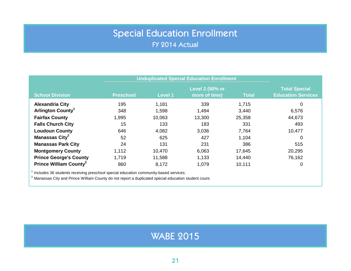### Special Education Enrollment FY 2014 Actual

<span id="page-20-0"></span>

|                                    | <b>Unduplicated Special Education Enrollment</b>                                     |         |                                         |              |                                                   |  |  |  |  |
|------------------------------------|--------------------------------------------------------------------------------------|---------|-----------------------------------------|--------------|---------------------------------------------------|--|--|--|--|
| <b>School Division</b>             | <b>Preschool</b>                                                                     | Level 1 | <b>Level 2 (50% or</b><br>more of time) | <b>Total</b> | <b>Total Special</b><br><b>Education Services</b> |  |  |  |  |
| <b>Alexandria City</b>             | 195                                                                                  | 1,181   | 339                                     | 1,715        | 0                                                 |  |  |  |  |
| Arlington County <sup>1</sup>      | 348                                                                                  | 1,598   | 1,494                                   | 3,440        | 6,576                                             |  |  |  |  |
| <b>Fairfax County</b>              | 1,995                                                                                | 10,063  | 13,300                                  | 25,358       | 44,673                                            |  |  |  |  |
| <b>Falls Church City</b>           | 15                                                                                   | 133     | 183                                     | 331          | 493                                               |  |  |  |  |
| <b>Loudoun County</b>              | 646                                                                                  | 4,082   | 3,036                                   | 7,764        | 10,477                                            |  |  |  |  |
| Manassas City <sup>2</sup>         | 52                                                                                   | 625     | 427                                     | 1,104        | 0                                                 |  |  |  |  |
| <b>Manassas Park City</b>          | 24                                                                                   | 131     | 231                                     | 386          | 515                                               |  |  |  |  |
| <b>Montgomery County</b>           | 1,112                                                                                | 10,470  | 6,063                                   | 17,645       | 20,295                                            |  |  |  |  |
| <b>Prince George's County</b>      | 1,719                                                                                | 11,588  | 1,133                                   | 14,440       | 76,162                                            |  |  |  |  |
| Prince William County <sup>2</sup> | 860                                                                                  | 8,172   | 1,079                                   | 10,111       | 0                                                 |  |  |  |  |
|                                    | Includes 36 students receiving preschool special education community-based services. |         |                                         |              |                                                   |  |  |  |  |

<sup>2</sup> Manassas City and Prince William County do not report a duplicated special education student count.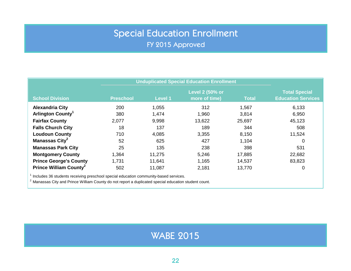## Special Education Enrollment

FY 2015 Approved

<span id="page-21-0"></span>

|                                                                                      | <b>Unduplicated Special Education Enrollment</b> |                |                                  |              |                                                   |
|--------------------------------------------------------------------------------------|--------------------------------------------------|----------------|----------------------------------|--------------|---------------------------------------------------|
| <b>School Division</b>                                                               | <b>Preschool</b>                                 | <b>Level 1</b> | Level 2 (50% or<br>more of time) | <b>Total</b> | <b>Total Special</b><br><b>Education Services</b> |
| <b>Alexandria City</b>                                                               | 200                                              | 1,055          | 312                              | 1,567        | 6,133                                             |
| Arlington County <sup>1</sup>                                                        | 380                                              | 1,474          | 1,960                            | 3,814        | 6,950                                             |
| <b>Fairfax County</b>                                                                | 2,077                                            | 9,998          | 13,622                           | 25,697       | 45,123                                            |
| <b>Falls Church City</b>                                                             | 18                                               | 137            | 189                              | 344          | 508                                               |
| <b>Loudoun County</b>                                                                | 710                                              | 4,085          | 3,355                            | 8,150        | 11,524                                            |
| Manassas City <sup>2</sup>                                                           | 52                                               | 625            | 427                              | 1,104        | 0                                                 |
| <b>Manassas Park City</b>                                                            | 25                                               | 135            | 238                              | 398          | 531                                               |
| <b>Montgomery County</b>                                                             | 1,364                                            | 11,275         | 5,246                            | 17,885       | 22,682                                            |
| <b>Prince George's County</b>                                                        | 1,731                                            | 11,641         | 1,165                            | 14,537       | 83,823                                            |
| Prince William County <sup>2</sup>                                                   | 502                                              | 11,087         | 2,181                            | 13,770       | 0                                                 |
| Includes 36 students receiving preschool special education community-based services. |                                                  |                |                                  |              |                                                   |

 $2$  Manassas City and Prince William County do not report a duplicated special education student count.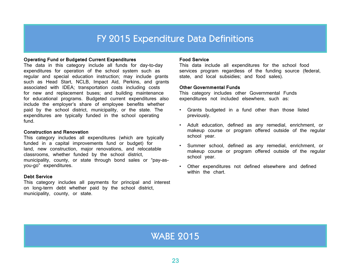#### FY 2015 Expenditure Data Definitions

#### <span id="page-22-0"></span>**Operating Fund or Budgeted Current Expenditures**

The data in this category include all funds for day-to-day expenditures for operation of the school system such as regular and special education instruction; may include grants such as Head Start, NCLB, Impact Aid, Perkins, and grants associated with IDEA; transportation costs including costs for new and replacement buses; and building maintenance for educational programs. Budgeted current expenditures also include the employer's share of employee benefits whether paid by the school district, municipality, or the state. The expenditures are typically funded in the school operating fund.

#### **Construction and Renovation**

This category includes all expenditures (which are typically funded in a capital improvements fund or budget) for land, new construction, major renovations, and relocatable classrooms, whether funded by the school district, municipality, county, or state through bond sales or "pay-asyou-go" expenditures.

#### **Debt Service**

This category includes all payments for principal and interest on long-term debt whether paid by the school district, municipality, county, or state.

#### **Food Service**

This data include all expenditures for the school food services program regardless of the funding source (federal, state, and local subsidies; and food sales).

#### **Other Governmental Funds**

This category includes other Governmental Funds expenditures not included elsewhere, such as:

- Grants budgeted in a fund other than those listed previously.
- Adult education, defined as any remedial, enrichment, or makeup course or program offered outside of the regular school year.
- Summer school, defined as any remedial, enrichment, or makeup course or program offered outside of the regular school year.
- Other expenditures not defined elsewhere and defined within the chart.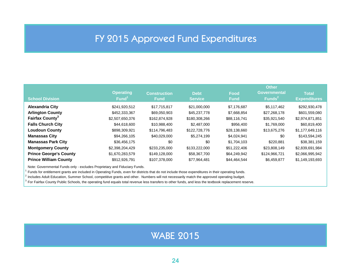#### FY 2015 Approved Fund Expenditures

<span id="page-23-0"></span>

| <b>School Division</b>             | <b>Operating</b><br>Fund <sup>1</sup> | <b>Construction</b><br><b>Fund</b> | <b>Debt</b><br><b>Service</b> | Food<br><b>Fund</b> | <b>Other</b><br><b>Governmental</b><br>Funds $2$ | <b>Total</b><br><b>Expenditures</b> |
|------------------------------------|---------------------------------------|------------------------------------|-------------------------------|---------------------|--------------------------------------------------|-------------------------------------|
| <b>Alexandria City</b>             | \$241,920,512                         | \$17,715,817                       | \$21,000,000                  | \$7,176,687         | \$5,117,462                                      | \$292,930,478                       |
| <b>Arlington County</b>            | \$452,333,367                         | \$69,050,903                       | \$45,237,778                  | \$7,668,854         | \$27,268,178                                     | \$601,559,080                       |
| <b>Fairfax County</b> <sup>3</sup> | \$2,507,650,376                       | \$162,874,928                      | \$180,308,266                 | \$88,116,741        | \$35,921,540                                     | \$2,974,871,851                     |
| <b>Falls Church City</b>           | \$44,618,600                          | \$10,988,400                       | \$2,487,000                   | \$956,400           | \$1,769,000                                      | \$60,819,400                        |
| <b>Loudoun County</b>              | \$898,309,921                         | \$114,796,483                      | \$122,728,776                 | \$28,138,660        | \$13,675,276                                     | \$1,177,649,116                     |
| <b>Manassas City</b>               | \$94,266,105                          | \$40,029,000                       | \$5,274,199                   | \$4,024,941         | \$0                                              | \$143,594,245                       |
| <b>Manassas Park City</b>          | \$36,456,175                          | \$0                                | \$0                           | \$1,704,103         | \$220,881                                        | \$38,381,159                        |
| <b>Montgomery County</b>           | \$2,398,204,429                       | \$233,235,000                      | \$133,222,000                 | \$51,222,406        | \$23,808,149                                     | \$2,839,691,984                     |
| <b>Prince George's County</b>      | \$1,670,283,579                       | \$149,128,000                      | \$58,367,700                  | \$64,249,942        | \$124,966,721                                    | \$2,066,995,942                     |
| <b>Prince William County</b>       | \$912,926,791                         | \$107,378,000                      | \$77,964,481                  | \$44,464,544        | \$6,459,877                                      | \$1,149,193,693                     |

Note: Governmental Funds only - excludes Proprietary and Fiduciary Funds.

 $1$  Funds for entitlement grants are included in Operating Funds, even for districts that do not include those expenditures in their operating funds.

<sup>2</sup> Includes Adult Education, Summer School, competitive grants and other. Numbers will not necessarily match the approved operating budget.

 $3$  For Fairfax County Public Schools, the operating fund equals total revenue less transfers to other funds, and less the textbook replacement reserve.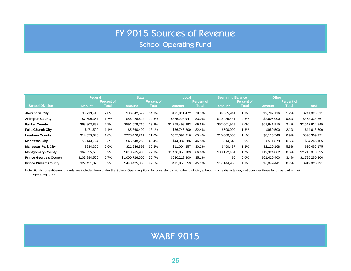### FY 2015 Sources of Revenue

School Operating Fund

<span id="page-24-0"></span>

|                               | <b>Federal</b> |                   | <b>State</b>    |                   | Local           |                   |              | <b>Beginning Balance</b> |               | <b>Other</b>      |                 |
|-------------------------------|----------------|-------------------|-----------------|-------------------|-----------------|-------------------|--------------|--------------------------|---------------|-------------------|-----------------|
|                               |                | <b>Percent of</b> |                 | <b>Percent of</b> |                 | <b>Percent of</b> |              | <b>Percent of</b>        |               | <b>Percent of</b> |                 |
| <b>School Division</b>        | <b>Amount</b>  | <b>Total</b>      | <b>Amount</b>   | <b>Total</b>      | <b>Amount</b>   | <b>Total</b>      | Amount       | <b>Total</b>             | <b>Amount</b> | <b>Total</b>      | <b>Total</b>    |
| <b>Alexandria City</b>        | \$6.713.410    | 2.8%              | \$36,042,572    | 14.9%             | \$191.811.472   | 79.3%             | \$4,565,941  | 1.9%                     | \$2,787,116   | 1.2%              | \$241,920,511   |
| <b>Arlington County</b>       | \$7,590,357    | 1.7%              | \$56.428.622    | 12.5%             | \$375.223.947   | 83.0%             | \$10.485.441 | 2.3%                     | \$2,605,000   | 0.6%              | \$452,333,367   |
| <b>Fairfax County</b>         | \$68,803,892   | 2.7%              | \$591,678,716   | 23.3%             | \$1,768,498,393 | 69.6%             | \$52,001,929 | 2.0%                     | \$61,641,915  | 2.4%              | \$2,542,624,845 |
| <b>Falls Church City</b>      | \$471,500      | 1.1%              | \$5,860,400     | 13.1%             | \$36,746,200    | 82.4%             | \$590,000    | 1.3%                     | \$950,500     | 2.1%              | \$44,618,600    |
| <b>Loudoun County</b>         | \$14,673,846   | 1.6%              | \$278,426,211   | 31.0%             | \$587,094,316   | 65.4%             | \$10,000,000 | 1.1%                     | \$8,115,548   | 0.9%              | \$898,309,921   |
| <b>Manassas City</b>          | \$3,143,724    | 3.3%              | \$45,648,268    | 48.4%             | \$44,087,686    | 46.8%             | \$814,548    | 0.9%                     | \$571,879     | 0.6%              | \$94,266,105    |
| <b>Manassas Park City</b>     | \$934,365      | 2.6%              | \$21,946,898    | 60.2%             | \$11,004,257    | 30.2%             | \$450.487    | 1.2%                     | \$2,120,168   | 5.8%              | \$36,456,175    |
| <b>Montgomery County</b>      | \$69,855,580   | 3.2%              | \$618.765.933   | 27.9%             | \$1,476,855,309 | 66.6%             | \$38,172,451 | 1.7%                     | \$12,324,062  | 0.6%              | \$2,215,973,335 |
| <b>Prince George's County</b> | \$102.884.500  | 5.7%              | \$1,000.726,600 | 55.7%             | \$630,218,800   | 35.1%             | \$0          | $0.0\%$                  | \$61,420,400  | 3.4%              | \$1,795,250,300 |
| <b>Prince William County</b>  | \$29,451,375   | 3.2%              | \$448,425,863   | 49.1%             | \$411.855.159   | 45.1%             | \$17.144.953 | 1.9%                     | \$6.049.441   | 0.7%              | \$912,926,791   |

Note: Funds for entitlement grants are included here under the School Operating Fund for consistency with other districts, although some districts may not consider these funds as part of their operating funds.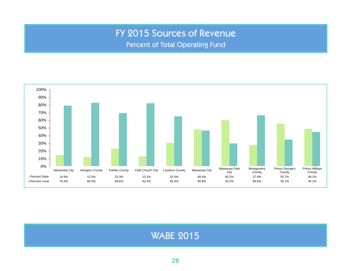### FY 2015 Sources of Revenue

Percent of Total Operating Fund

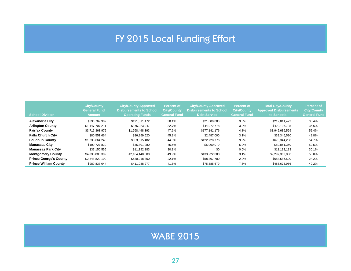### FY 2015 Local Funding Effort

<span id="page-26-0"></span>

| <b>School Division</b>        | <b>City/County</b><br><b>General Fund</b><br><b>Amount</b> | <b>City/County Approved</b><br><b>Disbursements to School</b><br><b>Operating Funds</b> | <b>Percent of</b><br><b>City/County</b><br><b>General Fund</b> | <b>City/County Approved</b><br><b>Disbursements to School</b><br><b>Debt Service</b> | <b>Percent of</b><br><b>City/County</b><br><b>General Fund</b> | <b>Total City/County</b><br><b>Approved Disbursements</b><br>to Schools | <b>Percent of</b><br><b>City/County</b><br><b>General Fund</b> |
|-------------------------------|------------------------------------------------------------|-----------------------------------------------------------------------------------------|----------------------------------------------------------------|--------------------------------------------------------------------------------------|----------------------------------------------------------------|-------------------------------------------------------------------------|----------------------------------------------------------------|
| <b>Alexandria City</b>        | \$636,769,902                                              | \$191,811,472                                                                           | 30.1%                                                          | \$21,000,000                                                                         | 3.3%                                                           | \$212,811,472                                                           | 33.4%                                                          |
| <b>Arlington County</b>       | \$1.147.707.211                                            | \$375.223.947                                                                           | 32.7%                                                          | \$44.972.778                                                                         | 3.9%                                                           | \$420.196.725                                                           | 36.6%                                                          |
| <b>Fairfax County</b>         | \$3.716.363.975                                            | \$1,768,498,393                                                                         | 47.6%                                                          | \$177.141.176                                                                        | 4.8%                                                           | \$1.945.639.569                                                         | 52.4%                                                          |
| <b>Falls Church City</b>      | \$80.551.664                                               | \$36,859,520                                                                            | 45.8%                                                          | \$2.487.000                                                                          | 3.1%                                                           | \$39,346,520                                                            | 48.8%                                                          |
| <b>Loudoun County</b>         | \$1.235.664.243                                            | \$553.615.482                                                                           | 44.8%                                                          | \$122,728,776                                                                        | 9.9%                                                           | \$676.344.258                                                           | 54.7%                                                          |
| <b>Manassas City</b>          | \$100,727,820                                              | \$45.801.280                                                                            | 45.5%                                                          | \$5.060.070                                                                          | 5.0%                                                           | \$50.861.350                                                            | 50.5%                                                          |
| <b>Manassas Park City</b>     | \$37.150.555                                               | \$11.192.183                                                                            | 30.1%                                                          | \$0                                                                                  | 0.0%                                                           | \$11.192.183                                                            | 30.1%                                                          |
| <b>Montgomery County</b>      | \$4.335.880.302                                            | \$2.164.140.000                                                                         | 49.9%                                                          | \$133,222,000                                                                        | 3.1%                                                           | \$2,297,362,000                                                         | 53.0%                                                          |
| <b>Prince George's County</b> | \$2,848,820,100                                            | \$630,218,800                                                                           | 22.1%                                                          | \$58,367,700                                                                         | 2.0%                                                           | \$688,586,500                                                           | 24.2%                                                          |
| <b>Prince William County</b>  | \$989.837.044                                              | \$411.088.277                                                                           | 41.5%                                                          | \$75,585,679                                                                         | 7.6%                                                           | \$486.673.956                                                           | 49.2%                                                          |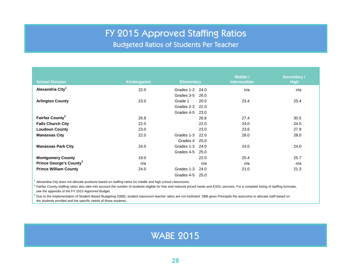#### FY 2015 Approved Staffing Ratios

Budgeted Ratios of Students Per Teacher

<span id="page-27-0"></span>

| <b>School Division</b>              | Kindergarten | <b>Elementary</b>  | Middle /<br><b>Intermediate</b> | <b>Secondary /</b><br><b>High</b> |
|-------------------------------------|--------------|--------------------|---------------------------------|-----------------------------------|
|                                     |              |                    |                                 |                                   |
| Alexandria City <sup>1</sup>        | 22.0         | Grades 1-2<br>24.0 | n/a                             | n/a                               |
|                                     |              | Grades 3-5<br>26.0 |                                 |                                   |
| <b>Arlington County</b>             | 23.0         | Grade 1<br>20.0    | 23.4                            | 25.4                              |
|                                     |              | Grades 2-3<br>22.0 |                                 |                                   |
|                                     |              | Grades 4-5<br>23.0 |                                 |                                   |
| Fairfax County <sup>2</sup>         | 26.8         | 26.8               | 27.4                            | 30.5                              |
| <b>Falls Church City</b>            | 22.0         | 22.0               | 24.0                            | 24.0                              |
| <b>Loudoun County</b>               | 23.0         | 23.0               | 23.6                            | 27.9                              |
| <b>Manassas City</b>                | 22.0         | Grades 1-3<br>22.0 | 28.0                            | 28.0                              |
|                                     |              | Grades 4<br>25.0   |                                 |                                   |
| <b>Manassas Park City</b>           | 24.0         | Grades 1-3<br>24.0 | 24.0                            | 24.0                              |
|                                     |              | Grades 4-5<br>25.0 |                                 |                                   |
| <b>Montgomery County</b>            | 19.0         | 22.0               | 25.4                            | 25.7                              |
| Prince George's County <sup>3</sup> | n/a          | n/a                | n/a                             | n/a                               |
| <b>Prince William County</b>        | 24.0         | Grades 1-3<br>24.0 | 21.0                            | 21.3                              |
|                                     |              | Grades 4-5<br>25.0 |                                 |                                   |

 $<sup>1</sup>$  Alexandria City does not allocate positions based on staffing ratios for middle and high school classrooms.</sup>

 $^2$  Fairfax County staffing ratios also take into account the number of students eligible for free and reduced priced meals and ESOL services. For a complete listing of staffing formulas, see the appendix of the FY 2015 Approved Budget.

 $^3$  Due to the implementation of Student Based Budgeting (SBB), student:classroom teacher ratios are not instituted. SBB gives Principals the autonomy to allocate staff based on the students enrolled and the specific needs of those students.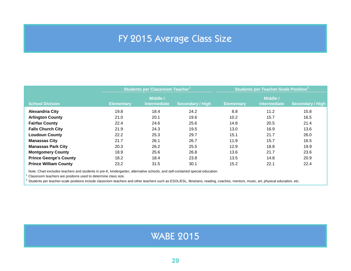### FY 2015 Average Class Size

<span id="page-28-0"></span>

|                               |                   | Students per Classroom Teacher <sup>1</sup> |                         | <b>Students per Teacher-Scale Position<sup>2</sup></b> |                                 |                         |  |
|-------------------------------|-------------------|---------------------------------------------|-------------------------|--------------------------------------------------------|---------------------------------|-------------------------|--|
| <b>School Division</b>        | <b>Elementary</b> | Middle /<br><b>Intermediate</b>             | <b>Secondary / High</b> | <b>Elementary</b>                                      | Middle /<br><b>Intermediate</b> | <b>Secondary / High</b> |  |
| <b>Alexandria City</b>        | 19.8              | 18.4                                        | 24.2                    | 8.8                                                    | 11.2                            | 15.8                    |  |
| <b>Arlington County</b>       | 21.0              | 20.1                                        | 19.6                    | 10.2                                                   | 15.7                            | 16.5                    |  |
| <b>Fairfax County</b>         | 22.4              | 24.6                                        | 25.6                    | 14.8                                                   | 20.5                            | 21.4                    |  |
| <b>Falls Church City</b>      | 21.9              | 24.3                                        | 19.5                    | 13.0                                                   | 16.9                            | 13.6                    |  |
| <b>Loudoun County</b>         | 22.2              | 25.3                                        | 29.7                    | 15.1                                                   | 21.7                            | 26.0                    |  |
| <b>Manassas City</b>          | 21.7              | 26.1                                        | 26.7                    | 11.9                                                   | 15.7                            | 16.5                    |  |
| <b>Manassas Park City</b>     | 20.3              | 26.2                                        | 25.5                    | 12.9                                                   | 18.8                            | 19.9                    |  |
| <b>Montgomery County</b>      | 18.9              | 25.6                                        | 26.8                    | 13.6                                                   | 21.7                            | 23.6                    |  |
| <b>Prince George's County</b> | 18.2              | 18.4                                        | 23.8                    | 13.5                                                   | 14.8                            | 20.9                    |  |
| <b>Prince William County</b>  | 23.2              | 31.5                                        | 30.1                    | 15.2                                                   | 22.1                            | 22.4                    |  |

Note: Chart excludes teachers and students in pre-K, kindergarten, alternative schools, and self-contained special education.

 $^1$  Classroom teachers are positions used to determine class size.

<sup>2</sup> Students per teacher-scale positions include classroom teachers and other teachers such as ESOL/ESL, librarians, reading, coaches, mentors, music, art, physical education, etc.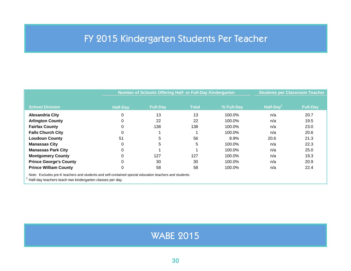### <span id="page-29-0"></span>FY 2015 Kindergarten Students Per Teacher

| <b>School Division</b>                                                                                 | <b>Half-Day</b> | <b>Full-Day</b> |              |            |          |                 |
|--------------------------------------------------------------------------------------------------------|-----------------|-----------------|--------------|------------|----------|-----------------|
|                                                                                                        |                 |                 |              |            |          |                 |
|                                                                                                        |                 |                 | <b>Total</b> | % Full-Day | Half-Day | <b>Full-Day</b> |
| <b>Alexandria City</b>                                                                                 |                 | 13              | 13           | 100.0%     | n/a      | 20.7            |
| <b>Arlington County</b>                                                                                |                 | 22              | 22           | 100.0%     | n/a      | 19.5            |
| <b>Fairfax County</b>                                                                                  |                 | 138             | 138          | 100.0%     | n/a      | 23.0            |
| <b>Falls Church City</b>                                                                               |                 |                 |              | 100.0%     | n/a      | 20.6            |
| <b>Loudoun County</b>                                                                                  | 51              | 5               | 56           | 8.9%       | 20.6     | 21.3            |
| <b>Manassas City</b>                                                                                   |                 | 5               | 5            | 100.0%     | n/a      | 22.3            |
| <b>Manassas Park City</b>                                                                              |                 |                 |              | 100.0%     | n/a      | 25.0            |
| <b>Montgomery County</b>                                                                               |                 | 127             | 127          | 100.0%     | n/a      | 19.3            |
| <b>Prince George's County</b>                                                                          |                 | 30              | 30           | 100.0%     | n/a      | 20.9            |
| <b>Prince William County</b>                                                                           |                 | 58              | 58           | 100.0%     | n/a      | 22.4            |
| Note: Excludes pre-K teachers and students and self-contained special education teachers and students. |                 |                 |              |            |          |                 |

Half-day teachers teach two kindergarten classes per day.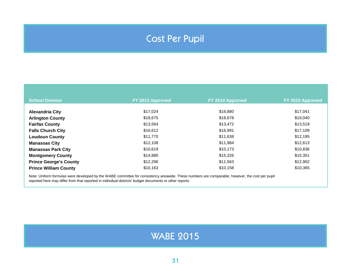### Cost Per Pupil

<span id="page-30-0"></span>

| <b>School Division</b>        | FY 2013 Approved | FY 2014 Approved | FY 2015 Approved |
|-------------------------------|------------------|------------------|------------------|
|                               |                  |                  |                  |
| <b>Alexandria City</b>        | \$17,024         | \$16,880         | \$17,041         |
| <b>Arlington County</b>       | \$18,675         | \$18,678         | \$19,040         |
| <b>Fairfax County</b>         | \$13,564         | \$13,472         | \$13,519         |
| <b>Falls Church City</b>      | \$16,612         | \$16,991         | \$17,109         |
| <b>Loudoun County</b>         | \$11,770         | \$11,638         | \$12,195         |
| <b>Manassas City</b>          | \$12,108         | \$11,984         | \$12,613         |
| <b>Manassas Park City</b>     | \$10,619         | \$10,173         | \$10,836         |
| <b>Montgomery County</b>      | \$14,880         | \$15,326         | \$15,351         |
| <b>Prince George's County</b> | \$12,296         | \$11,563         | \$12,902         |
| <b>Prince William County</b>  | \$10,163         | \$10,158         | \$10,365         |

Note: Uniform formulas were developed by the WABE committee for consistency areawide. These numbers are comparable; however, the cost per pupil reported here may differ from that reported in individual districts' budget documents or other reports.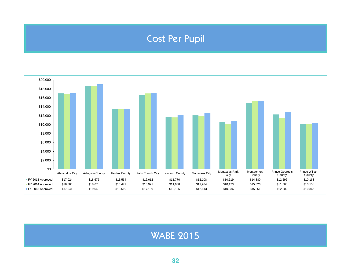### Cost Per Pupil



**WABE 2015**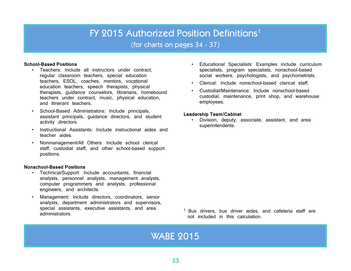#### FY 2015 Authorized Position Definitions<sup>1</sup>

(for charts on pages 34 - 37)

#### <span id="page-32-0"></span>**School-Based Positions**

- Teachers: Include all instructors under contract, regular classroom teachers, special education teachers, ESOL, coaches, mentors, vocational education teachers, speech therapists, physical therapists, guidance counselors, librarians, homebound teachers under contract, music, physical education, and itinerant teachers.
- School-Based Administrators: Include principals, assistant principals, guidance directors, and student activity directors.
- Instructional Assistants: Include instructional aides and teacher aides.
- Nonmanagement/All Others: Include school clerical staff, custodial staff, and other school-based support positions.

#### **Nonschool-Based Positions**

- Technical/Support: Include accountants, financial analysts, personnel analysts, management analysts, computer programmers and analysts, professional engineers, and architects.
- Management: Include directors, coordinators, senior analysts, department administrators and supervisors, special assistants, executive assistants, and area administrators.
- Educational Specialists: Examples include curriculum specialists, program specialists, nonschool-based social workers, psychologists, and psychometrists.
- Clerical: Include nonschool-based clerical staff.
- Custodial/Maintenance: Include nonschool-based custodial, maintenance, print shop, and warehouse employees.

#### **Leadership Team/Cabinet**

• Division, deputy, associate, assistant, and area superintendents.

<sup>1</sup> Bus drivers, bus driver aides, and cafeteria staff are not included in this calculation.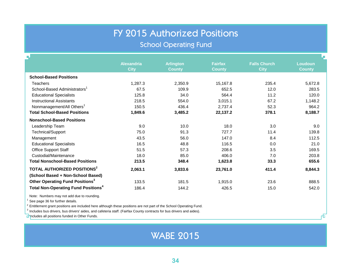#### FY 2015 Authorized Positions

#### School Operating Fund

<span id="page-33-0"></span>

| 4                                                     |                                  |                                   |                                 |                                    |                          |
|-------------------------------------------------------|----------------------------------|-----------------------------------|---------------------------------|------------------------------------|--------------------------|
|                                                       | <b>Alexandria</b><br><b>City</b> | <b>Arlington</b><br><b>County</b> | <b>Fairfax</b><br><b>County</b> | <b>Falls Church</b><br><b>City</b> | Loudoun<br><b>County</b> |
| <b>School-Based Positions</b>                         |                                  |                                   |                                 |                                    |                          |
| <b>Teachers</b>                                       | 1,287.3                          | 2,350.9                           | 15,167.8                        | 235.4                              | 5,672.8                  |
| School-Based Administrators                           | 67.5                             | 109.9                             | 652.5                           | 12.0                               | 283.5                    |
| <b>Educational Specialists</b>                        | 125.8                            | 34.0                              | 564.4                           | 11.2                               | 120.0                    |
| <b>Instructional Assistants</b>                       | 218.5                            | 554.0                             | 3,015.1                         | 67.2                               | 1,148.2                  |
| Nonmanagement/All Others <sup>1</sup>                 | 150.5                            | 436.4                             | 2,737.4                         | 52.3                               | 964.2                    |
| <b>Total School-Based Positions</b>                   | 1,849.6                          | 3,485.2                           | 22,137.2                        | 378.1                              | 8,188.7                  |
| <b>Nonschool-Based Positions</b>                      |                                  |                                   |                                 |                                    |                          |
| Leadership Team                                       | 9.0                              | 10.0                              | 18.0                            | 3.0                                | 9.0                      |
| Technical/Support                                     | 75.0                             | 91.3                              | 727.7                           | 11.4                               | 139.8                    |
| Management                                            | 43.5                             | 56.0                              | 147.0                           | 8.4                                | 112.5                    |
| <b>Educational Specialists</b>                        | 16.5                             | 48.8                              | 116.5                           | 0.0                                | 21.0                     |
| <b>Office Support Staff</b>                           | 51.5                             | 57.3                              | 208.6                           | 3.5                                | 169.5                    |
| Custodial/Maintenance                                 | 18.0                             | 85.0                              | 406.0                           | 7.0                                | 203.8                    |
| <b>Total Nonschool-Based Positions</b>                | 213.5                            | 348.4                             | 1,623.8                         | 33.3                               | 655.6                    |
| TOTAL AUTHORIZED POSITIONS <sup>2</sup>               | 2,063.1                          | 3,833.6                           | 23,761.0                        | 411.4                              | 8,844.3                  |
| (School Based + Non-School Based)                     |                                  |                                   |                                 |                                    |                          |
| Other Operating Fund Positions <sup>3</sup>           | 133.5                            | 181.5                             | 1,915.0                         | 23.6                               | 888.5                    |
| <b>Total Non-Operating Fund Positions<sup>4</sup></b> | 186.4                            | 144.2                             | 426.5                           | 15.0                               | 542.0                    |

Note: Numbers may not add due to rounding.

 $<sup>1</sup>$  See page 36 for further details.</sup>

 $^2$  Entitlement grant positions are included here although these positions are not part of the School Operating Fund.

<sup>3</sup> Includes bus drivers, bus drivers' aides, and cafeteria staff. (Fairfax County contracts for bus drivers and aides).

**H** includes all positions funded in Other Funds.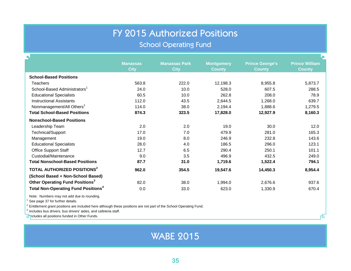### FY 2015 Authorized Positions

School Operating Fund

| 부                                                     |                                |                                     |                                    |                                         |                                        |
|-------------------------------------------------------|--------------------------------|-------------------------------------|------------------------------------|-----------------------------------------|----------------------------------------|
|                                                       | <b>Manassas</b><br><b>City</b> | <b>Manassas Park</b><br><b>City</b> | <b>Montgomery</b><br><b>County</b> | <b>Prince George's</b><br><b>County</b> | <b>Prince William</b><br><b>County</b> |
| <b>School-Based Positions</b>                         |                                |                                     |                                    |                                         |                                        |
| <b>Teachers</b>                                       | 563.8                          | 222.0                               | 12,198.3                           | 8,955.8                                 | 5,873.7                                |
| School-Based Administrators <sup>1</sup>              | 24.0                           | 10.0                                | 528.0                              | 607.5                                   | 288.5                                  |
| <b>Educational Specialists</b>                        | 60.5                           | 10.0                                | 262.8                              | 208.0                                   | 78.9                                   |
| <b>Instructional Assistants</b>                       | 112.0                          | 43.5                                | 2,644.5                            | 1,268.0                                 | 639.7                                  |
| Nonmanagement/All Others <sup>1</sup>                 | 114.0                          | 38.0                                | 2,194.4                            | 1,888.6                                 | 1,279.5                                |
| <b>Total School-Based Positions</b>                   | 874.3                          | 323.5                               | 17,828.0                           | 12,927.9                                | 8,160.3                                |
| <b>Nonschool-Based Positions</b>                      |                                |                                     |                                    |                                         |                                        |
| Leadership Team                                       | 2.0                            | 2.0                                 | 19.0                               | 30.0                                    | 12.0                                   |
| Technical/Support                                     | 17.0                           | 7.0                                 | 479.9                              | 281.0                                   | 165.3                                  |
| Management                                            | 19.0                           | 8.0                                 | 246.9                              | 232.8                                   | 143.6                                  |
| <b>Educational Specialists</b>                        | 28.0                           | 4.0                                 | 186.5                              | 296.0                                   | 123.1                                  |
| Office Support Staff                                  | 12.7                           | 6.5                                 | 290.4                              | 250.1                                   | 101.1                                  |
| Custodial/Maintenance                                 | 9.0                            | 3.5                                 | 496.9                              | 432.5                                   | 249.0                                  |
| <b>Total Nonschool-Based Positions</b>                | 87.7                           | 31.0                                | 1,719.6                            | 1,522.4                                 | 794.1                                  |
| TOTAL AUTHORIZED POSITIONS <sup>2</sup>               | 962.0                          | 354.5                               | 19,547.6                           | 14,450.3                                | 8,954.4                                |
| (School Based + Non-School Based)                     |                                |                                     |                                    |                                         |                                        |
| Other Operating Fund Positions <sup>3</sup>           | 82.0                           | 38.0                                | 1,994.0                            | 2,676.6                                 | 937.6                                  |
| <b>Total Non-Operating Fund Positions<sup>4</sup></b> | 0.0                            | 33.0                                | 623.0                              | 1,330.9                                 | 670.4                                  |
|                                                       |                                |                                     |                                    |                                         |                                        |

Note: Numbers may not add due to rounding.

 $<sup>1</sup>$  See page 37 for further details.</sup>

 $^2$  Entitlement grant positions are included here although these positions are not part of the School Operating Fund.

 $3$  Includes bus drivers, bus drivers' aides, and cafeteria staff.

**H** ncludes all positions funded in Other Funds.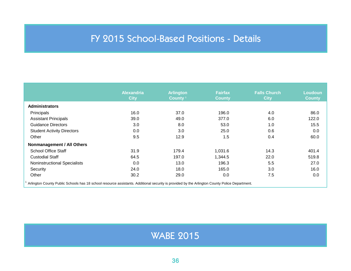### FY 2015 School-Based Positions - Details

<span id="page-35-0"></span>

|                                     | <b>Alexandria</b><br><b>City</b> | <b>Arlington</b><br>County <sup>1</sup> | <b>Fairfax</b><br><b>County</b> | <b>Falls Church</b><br><b>City</b> | Loudoun<br><b>County</b> |
|-------------------------------------|----------------------------------|-----------------------------------------|---------------------------------|------------------------------------|--------------------------|
| <b>Administrators</b>               |                                  |                                         |                                 |                                    |                          |
| Principals                          | 16.0                             | 37.0                                    | 196.0                           | 4.0                                | 86.0                     |
| <b>Assistant Principals</b>         | 39.0                             | 49.0                                    | 377.0                           | 6.0                                | 122.0                    |
| <b>Guidance Directors</b>           | 3.0                              | 8.0                                     | 53.0                            | 1.0                                | 15.5                     |
| <b>Student Activity Directors</b>   | 0.0                              | 3.0                                     | 25.0                            | 0.6                                | 0.0                      |
| Other                               | 9.5                              | 12.9                                    | 1.5                             | 0.4                                | 60.0                     |
| Nonmanagement / All Others          |                                  |                                         |                                 |                                    |                          |
| <b>School Office Staff</b>          | 31.9                             | 179.4                                   | 1,031.6                         | 14.3                               | 401.4                    |
| <b>Custodial Staff</b>              | 64.5                             | 197.0                                   | 1,344.5                         | 22.0                               | 519.8                    |
| <b>Noninstructional Specialists</b> | 0.0                              | 13.0                                    | 196.3                           | 5.5                                | 27.0                     |
| Security                            | 24.0                             | 18.0                                    | 165.0                           | 3.0                                | 16.0                     |
| Other                               | 30.2                             | 29.0                                    | 0.0                             | 7.5                                | 0.0                      |

<sup>1</sup> Arlington County Public Schools has 18 school resource assistants. Additional security is provided by the Arlington County Police Department.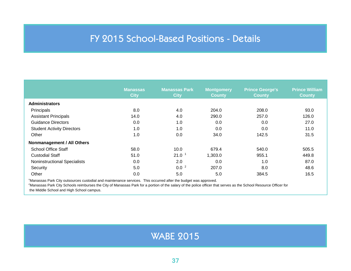### FY 2015 School-Based Positions - Details

|                                     | <b>Manassas</b><br><b>City</b> | <b>Manassas Park</b><br><b>City</b> | <b>Montgomery</b><br><b>County</b> | <b>Prince George's</b><br><b>County</b> | <b>Prince William</b><br><b>County</b> |
|-------------------------------------|--------------------------------|-------------------------------------|------------------------------------|-----------------------------------------|----------------------------------------|
| <b>Administrators</b>               |                                |                                     |                                    |                                         |                                        |
| Principals                          | 8.0                            | 4.0                                 | 204.0                              | 208.0                                   | 93.0                                   |
| <b>Assistant Principals</b>         | 14.0                           | 4.0                                 | 290.0                              | 257.0                                   | 126.0                                  |
| <b>Guidance Directors</b>           | 0.0                            | 1.0                                 | 0.0                                | 0.0                                     | 27.0                                   |
| <b>Student Activity Directors</b>   | 1.0                            | 1.0                                 | 0.0                                | 0.0                                     | 11.0                                   |
| Other                               | 1.0                            | 0.0                                 | 34.0                               | 142.5                                   | 31.5                                   |
| Nonmanagement / All Others          |                                |                                     |                                    |                                         |                                        |
| <b>School Office Staff</b>          | 58.0                           | 10.0                                | 679.4                              | 540.0                                   | 505.5                                  |
| <b>Custodial Staff</b>              | 51.0                           | $21.0-1$                            | 1,303.0                            | 955.1                                   | 449.8                                  |
| <b>Noninstructional Specialists</b> | 0.0                            | 2.0                                 | 0.0                                | 1.0                                     | 87.0                                   |
| Security                            | 5.0                            | 0.0 <sup>2</sup>                    | 207.0                              | 8.0                                     | 48.6                                   |
| Other                               | 0.0                            | 5.0                                 | 5.0                                | 384.5                                   | 16.5                                   |

<sup>1</sup>Manassas Park City outsources custodial and maintenance services. This occurred after the budget was approved.

<sup>2</sup>Manassas Park City Schools reimburses the City of Manassas Park for a portion of the salary of the police officer that serves as the School Resource Officer for the Middle School and High School campus.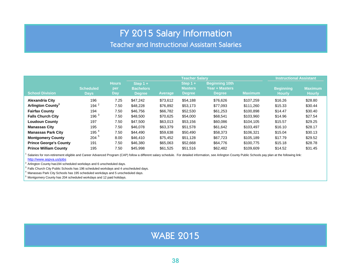#### FY 2015 Salary Information

Teacher and Instructional Assistant Salaries

<span id="page-37-0"></span>

|                               |                                 |                            | <b>Teacher Salary</b>                           |                |                                               |                                                                 |                | <b>Instructional Assistant</b>    |                                 |  |
|-------------------------------|---------------------------------|----------------------------|-------------------------------------------------|----------------|-----------------------------------------------|-----------------------------------------------------------------|----------------|-----------------------------------|---------------------------------|--|
| <b>School Division</b>        | <b>Scheduled</b><br><b>Days</b> | <b>Hours</b><br>per<br>Day | Step $1 +$<br><b>Bachelors</b><br><b>Degree</b> | <b>Average</b> | Step $1 +$<br><b>Masters</b><br><b>Degree</b> | <b>Beginning 10th</b><br><b>Year + Masters</b><br><b>Degree</b> | <b>Maximum</b> | <b>Beginning</b><br><b>Hourly</b> | <b>Maximum</b><br><b>Hourly</b> |  |
| <b>Alexandria City</b>        | 196                             | 7.25                       | \$47.242                                        | \$73,612       | \$54,188                                      | \$76,626                                                        | \$107.259      | \$16.26                           | \$28.80                         |  |
| Arlington County <sup>1</sup> | 194 <sup>2</sup>                | 7.50                       | \$48,228                                        | \$76,892       | \$53,173                                      | \$77,093                                                        | \$111.260      | \$15.33                           | \$30.44                         |  |
| <b>Fairfax County</b>         | 194                             | 7.50                       | \$46.756                                        | \$66,782       | \$52,530                                      | \$61,253                                                        | \$100,898      | \$14.47                           | \$30.40                         |  |
| <b>Falls Church City</b>      | 196 <sup>3</sup>                | 7.50                       | \$48,500                                        | \$70,625       | \$54,000                                      | \$68,541                                                        | \$103,960      | \$14.96                           | \$27.54                         |  |
| <b>Loudoun County</b>         | 197                             | 7.50                       | \$47,500                                        | \$63,013       | \$53,156                                      | \$60,086                                                        | \$104,105      | \$15.57                           | \$29.25                         |  |
| <b>Manassas City</b>          | 195                             | 7.50                       | \$46,078                                        | \$63,379       | \$51,578                                      | \$61,642                                                        | \$103.497      | \$16.10                           | \$28.17                         |  |
| <b>Manassas Park City</b>     | 195 $4$                         | 7.50                       | \$44,490                                        | \$59,638       | \$50,490                                      | \$58,373                                                        | \$106,321      | \$15.04                           | \$30.13                         |  |
| <b>Montgomery County</b>      | $204^{\circ}$                   | 8.00                       | \$46,410                                        | \$75,452       | \$51.128                                      | \$67,723                                                        | \$105.189      | \$17.79                           | \$29.52                         |  |
| <b>Prince George's County</b> | 191                             | 7.50                       | \$46,380                                        | \$65,063       | \$52,668                                      | \$64,776                                                        | \$100,775      | \$15.18                           | \$28.78                         |  |
| <b>Prince William County</b>  | 195                             | 7.50                       | \$45,998                                        | \$61,525       | \$51,516                                      | \$62,482                                                        | \$109,609      | \$14.52                           | \$31.45                         |  |

Salaries for non-retirement eligible and Career Advanced Program (CAP) follow a different salary schedule. For detailed information, see Arlington County Public Schools pay plan at the following link:

#### http://www.aspva.us/jobs

 $2$  Arlington County has 194 scheduled workdays and 6 unscheduled days.

 $3$  Falls Church City Public Schools has 196 scheduled workdays and 4 unscheduled days.

 $<sup>4</sup>$  Manassas Park City Schools has 195 scheduled workdays and 5 unscheduled days.</sup>

 $5$  Montgomery County has 204 scheduled workdays and 12 paid holidays.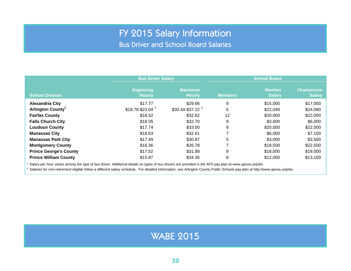### FY 2015 Salary Information

Bus Driver and School Board Salaries

|                                                                                                                                                       | <b>Bus Driver Salary</b>          |                                 |                | <b>School Board</b>            |                                     |  |  |  |  |
|-------------------------------------------------------------------------------------------------------------------------------------------------------|-----------------------------------|---------------------------------|----------------|--------------------------------|-------------------------------------|--|--|--|--|
| <b>School Division</b>                                                                                                                                | <b>Beginning</b><br><b>Hourly</b> | <b>Maximum</b><br><b>Hourly</b> | <b>Members</b> | <b>Member</b><br><b>Salary</b> | <b>Chairperson</b><br><b>Salary</b> |  |  |  |  |
| <b>Alexandria City</b>                                                                                                                                | \$17.77                           | \$29.66                         | 9              | \$15,000                       | \$17,000                            |  |  |  |  |
| Arlington County <sup>1</sup>                                                                                                                         | $$18.79 - $23.04$ <sup>2</sup>    | $$30.44 - $37.22$ <sup>2</sup>  | 5              | \$22,040                       | \$24,080                            |  |  |  |  |
| <b>Fairfax County</b>                                                                                                                                 | \$18.52                           | \$32.62                         | 12             | \$20,000                       | \$22,000                            |  |  |  |  |
| <b>Falls Church City</b>                                                                                                                              | \$18.05                           | \$32.70                         | 9              | \$3,600                        | \$6,000                             |  |  |  |  |
| <b>Loudoun County</b>                                                                                                                                 | \$17.74                           | \$33.50                         | 9              | \$20,000                       | \$22,000                            |  |  |  |  |
| <b>Manassas City</b>                                                                                                                                  | \$18.63                           | \$32.61                         |                | \$6,000                        | \$7,100                             |  |  |  |  |
| <b>Manassas Park City</b>                                                                                                                             | \$17.49                           | \$30.87                         | 5              | \$3,000                        | \$3,500                             |  |  |  |  |
| <b>Montgomery County</b>                                                                                                                              | \$16.36                           | \$26.78                         |                | \$18,500                       | \$22,500                            |  |  |  |  |
| <b>Prince George's County</b>                                                                                                                         | \$17.52                           | \$31.89                         | 9              | \$18,000                       | \$19,000                            |  |  |  |  |
| <b>Prince William County</b>                                                                                                                          | \$15.87                           | \$34.35                         | 8              | \$12,000                       | \$13,100                            |  |  |  |  |
| Salary per hour varies among the type of bus driver. Additional details on types of bus drivers are provided in the APS pay plan at www.apsva.us/jobs |                                   |                                 |                |                                |                                     |  |  |  |  |

2 Salaries for non-retirement eligible follow a different salary schedule. For detailed information, see Arlington County Public Schools pay plan at http://www.apsva.us/jobs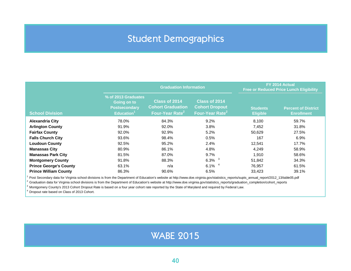### Student Demographics

<span id="page-39-0"></span>

|                               |                                                                                      | <b>Graduation Information</b>                                            | FY 2014 Actual<br><b>Free or Reduced Price Lunch Eligibility</b>      |                                    |                                                 |
|-------------------------------|--------------------------------------------------------------------------------------|--------------------------------------------------------------------------|-----------------------------------------------------------------------|------------------------------------|-------------------------------------------------|
| <b>School Division</b>        | % of 2013 Graduates<br>Going on to<br><b>Postsecondary</b><br>Education <sup>1</sup> | Class of 2014<br><b>Cohort Graduation</b><br>Four-Year Rate <sup>2</sup> | Class of 2014<br><b>Cohort Dropout</b><br>Four-Year Rate <sup>2</sup> | <b>Students</b><br><b>Eligible</b> | <b>Percent of District</b><br><b>Enrollment</b> |
| <b>Alexandria City</b>        | 78.0%                                                                                | 84.3%                                                                    | 9.2%                                                                  | 8,100                              | 59.7%                                           |
| <b>Arlington County</b>       | 91.9%                                                                                | 92.0%                                                                    | 3.8%                                                                  | 7,452                              | 31.8%                                           |
| <b>Fairfax County</b>         | 92.0%                                                                                | 92.9%                                                                    | 5.2%                                                                  | 50,629                             | 27.5%                                           |
| <b>Falls Church City</b>      | 93.6%                                                                                | 98.4%                                                                    | 0.5%                                                                  | 167                                | 6.9%                                            |
| <b>Loudoun County</b>         | 92.5%                                                                                | 95.2%                                                                    | 2.4%                                                                  | 12,541                             | 17.7%                                           |
| <b>Manassas City</b>          | 80.9%                                                                                | 86.1%                                                                    | 4.8%                                                                  | 4,249                              | 58.9%                                           |
| <b>Manassas Park City</b>     | 81.5%                                                                                | 87.0%                                                                    | 9.7%                                                                  | 1,910                              | 58.6%                                           |
| <b>Montgomery County</b>      | 91.8%                                                                                | 88.3%                                                                    | 6.3%                                                                  | 51,842                             | 34.3%                                           |
| <b>Prince George's County</b> | 63.1%                                                                                | n/a                                                                      | 6.1%                                                                  | 76,957                             | 61.5%                                           |
| <b>Prince William County</b>  | 86.3%                                                                                | 90.6%                                                                    | 6.5%                                                                  | 33,423                             | 39.1%                                           |

<sup>1</sup> Post Secondary data for Virginia school divisions is from the Department of Education's website at http://www.doe.virginia.gov/statistics\_reports/supts\_annual\_report/2012\_13/table05.pdf

 $^2$  Graduation data for Virginia school divisions is from the Department of Education's website at http://www.doe.virginia.gov/statistics\_reports/graduation\_completion/cohort\_reports

 $^3$  Montgomery County's 2013 Cohort Dropout Rate is based on a four year cohort rate reported by the State of Maryland and required by Federal Law.

<sup>4</sup> Dropout rate based on Class of 2013 Cohort.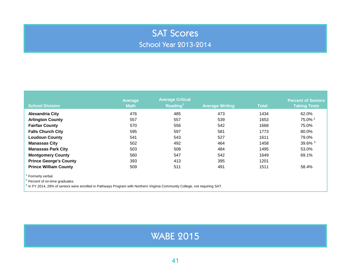#### SAT Scores School Year 2013-2014

<span id="page-40-0"></span>

| <b>School Division</b>        | <b>Average</b><br><b>Math</b> | <b>Average Critical</b><br>Reading <sup>1</sup> | <b>Average Writing</b> | <b>Total</b> | <b>Percent of Seniors</b><br><b>Taking Tests</b> |
|-------------------------------|-------------------------------|-------------------------------------------------|------------------------|--------------|--------------------------------------------------|
| <b>Alexandria City</b>        | 476                           | 485                                             | 473                    | 1434         | 62.0%                                            |
| <b>Arlington County</b>       | 557                           | 557                                             | 539                    | 1653         | 75.0% <sup>2</sup>                               |
| <b>Fairfax County</b>         | 570                           | 556                                             | 542                    | 1668         | 75.0%                                            |
| <b>Falls Church City</b>      | 595                           | 597                                             | 581                    | 1773         | 80.0%                                            |
| <b>Loudoun County</b>         | 541                           | 543                                             | 527                    | 1611         | 79.0%                                            |
| <b>Manassas City</b>          | 502                           | 492                                             | 464                    | 1458         | 39.6% <sup>3</sup>                               |
| <b>Manassas Park City</b>     | 503                           | 508                                             | 484                    | 1495         | 53.0%                                            |
| <b>Montgomery County</b>      | 560                           | 547                                             | 542                    | 1649         | 69.1%                                            |
| <b>Prince George's County</b> | 393                           | 413                                             | 395                    | 1201         |                                                  |
| <b>Prince William County</b>  | 509                           | 511                                             | 491                    | 1511         | 58.4%                                            |
| Formerly verbal.              |                               |                                                 |                        |              |                                                  |

<sup>2</sup> Percent of on-time graduates.

<sup>3</sup> In FY 2014, 28% of seniors were enrolled in Pathways Program with Northern Virginia Community College, not requiring SAT.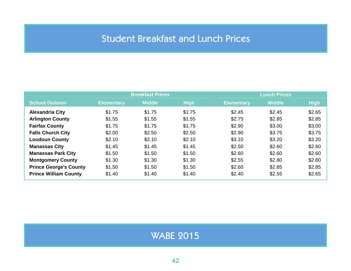### Student Breakfast and Lunch Prices

<span id="page-41-0"></span>

|                               |                   | <b>Breakfast Prices</b> |             |                   | <b>Lunch Prices</b> |             |
|-------------------------------|-------------------|-------------------------|-------------|-------------------|---------------------|-------------|
| <b>School Division</b>        | <b>Elementary</b> | <b>Middle</b>           | <b>High</b> | <b>Elementary</b> | <b>Middle</b>       | <b>High</b> |
| <b>Alexandria City</b>        | \$1.75            | \$1.75                  | \$1.75      | \$2.45            | \$2.45              | \$2.65      |
| <b>Arlington County</b>       | \$1.55            | \$1.55                  | \$1.55      | \$2.75            | \$2.85              | \$2.85      |
| <b>Fairfax County</b>         | \$1.75            | \$1.75                  | \$1.75      | \$2.90            | \$3.00              | \$3.00      |
| <b>Falls Church City</b>      | \$2.00            | \$2.50                  | \$2.50      | \$2.90            | \$3.75              | \$3.75      |
| <b>Loudoun County</b>         | \$2.10            | \$2.10                  | \$2.10      | \$3.10            | \$3.20              | \$3.20      |
| <b>Manassas City</b>          | \$1.45            | \$1.45                  | \$1.45      | \$2.50            | \$2.60              | \$2.60      |
| <b>Manassas Park City</b>     | \$1.50            | \$1.50                  | \$1.50      | \$2.60            | \$2.60              | \$2.60      |
| <b>Montgomery County</b>      | \$1.30            | \$1.30                  | \$1.30      | \$2.55            | \$2.80              | \$2.80      |
| <b>Prince George's County</b> | \$1.50            | \$1.50                  | \$1.50      | \$2.60            | \$2.85              | \$2.85      |
| <b>Prince William County</b>  | \$1.40            | \$1.40                  | \$1.40      | \$2.40            | \$2.55              | \$2.65      |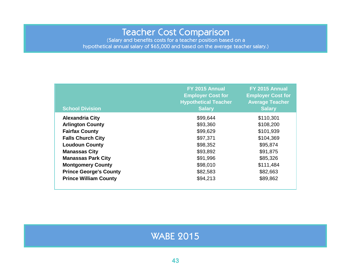#### Teacher Cost Comparison

<span id="page-42-0"></span>(Salary and benefits costs for a teacher position based on a hypothetical annual salary of \$65,000 and based on the average teacher salary.)

| <b>School Division</b>        | FY 2015 Annual<br><b>Employer Cost for</b><br><b>Hypothetical Teacher</b><br><b>Salary</b> | FY 2015 Annual<br><b>Employer Cost for</b><br><b>Average Teacher</b><br><b>Salary</b> |
|-------------------------------|--------------------------------------------------------------------------------------------|---------------------------------------------------------------------------------------|
| <b>Alexandria City</b>        | \$99,644                                                                                   | \$110,301                                                                             |
| <b>Arlington County</b>       | \$93,360                                                                                   | \$108,200                                                                             |
| <b>Fairfax County</b>         | \$99,629                                                                                   | \$101,939                                                                             |
| <b>Falls Church City</b>      | \$97,371                                                                                   | \$104,369                                                                             |
| <b>Loudoun County</b>         | \$98,352                                                                                   | \$95,874                                                                              |
| <b>Manassas City</b>          | \$93,892                                                                                   | \$91,875                                                                              |
| <b>Manassas Park City</b>     | \$91,996                                                                                   | \$85,326                                                                              |
| <b>Montgomery County</b>      | \$98,010                                                                                   | \$111,484                                                                             |
| <b>Prince George's County</b> | \$82,583                                                                                   | \$82,663                                                                              |
| <b>Prince William County</b>  | \$94,213                                                                                   | \$89,862                                                                              |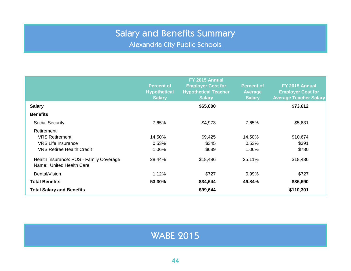Alexandria City Public Schools

<span id="page-43-0"></span>

|                                                                     | FY 2015 Annual                       |                                                         |                                 |                                            |  |
|---------------------------------------------------------------------|--------------------------------------|---------------------------------------------------------|---------------------------------|--------------------------------------------|--|
|                                                                     | <b>Percent of</b>                    | <b>Employer Cost for</b><br><b>Hypothetical Teacher</b> | <b>Percent of</b>               | FY 2015 Annual<br><b>Employer Cost for</b> |  |
|                                                                     | <b>Hypothetical</b><br><b>Salary</b> | <b>Salary</b>                                           | <b>Average</b><br><b>Salary</b> | <b>Average Teacher Salary</b>              |  |
| <b>Salary</b>                                                       |                                      | \$65,000                                                |                                 | \$73,612                                   |  |
| <b>Benefits</b>                                                     |                                      |                                                         |                                 |                                            |  |
| <b>Social Security</b>                                              | 7.65%                                | \$4,973                                                 | 7.65%                           | \$5,631                                    |  |
| Retirement                                                          |                                      |                                                         |                                 |                                            |  |
| <b>VRS Retirement</b>                                               | 14.50%                               | \$9,425                                                 | 14.50%                          | \$10,674                                   |  |
| <b>VRS Life Insurance</b>                                           | 0.53%                                | \$345                                                   | 0.53%                           | \$391                                      |  |
| <b>VRS Retiree Health Credit</b>                                    | 1.06%                                | \$689                                                   | 1.06%                           | \$780                                      |  |
| Health Insurance: POS - Family Coverage<br>Name: United Health Care | 28.44%                               | \$18,486                                                | 25.11%                          | \$18,486                                   |  |
| Dental/Vision                                                       | 1.12%                                | \$727                                                   | 0.99%                           | \$727                                      |  |
| <b>Total Benefits</b>                                               | 53.30%                               | \$34,644                                                | 49.84%                          | \$36,690                                   |  |
| <b>Total Salary and Benefits</b>                                    |                                      | \$99,644                                                |                                 | \$110,301                                  |  |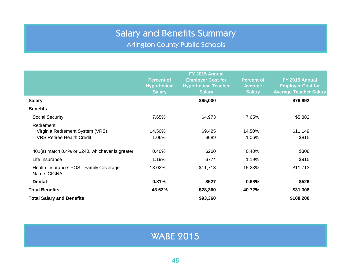Arlington County Public Schools

<span id="page-44-0"></span>

|                                                        | FY 2015 Annual      |                             |                   |                               |  |
|--------------------------------------------------------|---------------------|-----------------------------|-------------------|-------------------------------|--|
|                                                        | <b>Percent of</b>   | <b>Employer Cost for</b>    | <b>Percent of</b> | FY 2015 Annual                |  |
|                                                        | <b>Hypothetical</b> | <b>Hypothetical Teacher</b> | <b>Average</b>    | <b>Employer Cost for</b>      |  |
|                                                        | <b>Salary</b>       | <b>Salary</b>               | <b>Salary</b>     | <b>Average Teacher Salary</b> |  |
| <b>Salary</b>                                          |                     | \$65,000                    |                   | \$76,892                      |  |
| <b>Benefits</b>                                        |                     |                             |                   |                               |  |
| <b>Social Security</b>                                 | 7.65%               | \$4,973                     | 7.65%             | \$5,882                       |  |
| Retirement                                             |                     |                             |                   |                               |  |
| Virginia Retirement System (VRS)                       | 14.50%              | \$9,425                     | 14.50%            | \$11,149                      |  |
| <b>VRS Retiree Health Credit</b>                       | 1.06%               | \$689                       | 1.06%             | \$815                         |  |
| 401(a) match 0.4% or \$240, whichever is greater       | 0.40%               | \$260                       | 0.40%             | \$308                         |  |
| Life Insurance                                         | 1.19%               | \$774                       | 1.19%             | \$915                         |  |
| Health Insurance: POS - Family Coverage<br>Name: CIGNA | 18.02%              | \$11,713                    | 15.23%            | \$11,713                      |  |
| <b>Dental</b>                                          | 0.81%               | \$527                       | 0.68%             | \$526                         |  |
| <b>Total Benefits</b>                                  | 43.63%              | \$28,360                    | 40.72%            | \$31,308                      |  |
| <b>Total Salary and Benefits</b>                       |                     | \$93,360                    |                   | \$108,200                     |  |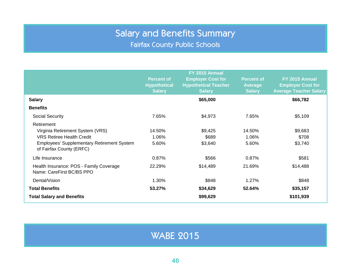Fairfax County Public Schools

<span id="page-45-0"></span>

|                                                                               | FY 2015 Annual                           |                                                         |                                     |                                            |  |
|-------------------------------------------------------------------------------|------------------------------------------|---------------------------------------------------------|-------------------------------------|--------------------------------------------|--|
|                                                                               | <b>Percent of</b><br><b>Hypothetical</b> | <b>Employer Cost for</b><br><b>Hypothetical Teacher</b> | <b>Percent of</b><br><b>Average</b> | FY 2015 Annual<br><b>Employer Cost for</b> |  |
|                                                                               | <b>Salary</b>                            | <b>Salary</b>                                           | <b>Salary</b>                       | <b>Average Teacher Salary</b>              |  |
| <b>Salary</b>                                                                 |                                          | \$65,000                                                |                                     | \$66,782                                   |  |
| <b>Benefits</b>                                                               |                                          |                                                         |                                     |                                            |  |
| <b>Social Security</b>                                                        | 7.65%                                    | \$4,973                                                 | 7.65%                               | \$5,109                                    |  |
| Retirement                                                                    |                                          |                                                         |                                     |                                            |  |
| Virginia Retirement System (VRS)                                              | 14.50%                                   | \$9,425                                                 | 14.50%                              | \$9,683                                    |  |
| <b>VRS Retiree Health Credit</b>                                              | 1.06%                                    | \$689                                                   | 1.06%                               | \$708                                      |  |
| <b>Employees' Supplementary Retirement System</b><br>of Fairfax County (ERFC) | 5.60%                                    | \$3,640                                                 | 5.60%                               | \$3,740                                    |  |
| Life Insurance                                                                | 0.87%                                    | \$566                                                   | 0.87%                               | \$581                                      |  |
| Health Insurance: POS - Family Coverage<br>Name: CareFirst BC/BS PPO          | 22.29%                                   | \$14,489                                                | 21.69%                              | \$14,488                                   |  |
| Dental/Vision                                                                 | 1.30%                                    | \$848                                                   | 1.27%                               | \$848                                      |  |
| <b>Total Benefits</b>                                                         | 53.27%                                   | \$34,629                                                | 52.64%                              | \$35,157                                   |  |
| <b>Total Salary and Benefits</b>                                              |                                          | \$99,629                                                |                                     | \$101,939                                  |  |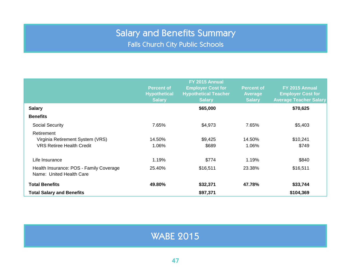Falls Church City Public Schools

<span id="page-46-0"></span>

|                                                                     | FY 2015 Annual                           |                                                         |                                     |                                            |  |
|---------------------------------------------------------------------|------------------------------------------|---------------------------------------------------------|-------------------------------------|--------------------------------------------|--|
|                                                                     | <b>Percent of</b><br><b>Hypothetical</b> | <b>Employer Cost for</b><br><b>Hypothetical Teacher</b> | <b>Percent of</b><br><b>Average</b> | FY 2015 Annual<br><b>Employer Cost for</b> |  |
|                                                                     | <b>Salary</b>                            | <b>Salary</b>                                           | <b>Salary</b>                       | <b>Average Teacher Salary</b>              |  |
| <b>Salary</b>                                                       |                                          | \$65,000                                                |                                     | \$70,625                                   |  |
| <b>Benefits</b>                                                     |                                          |                                                         |                                     |                                            |  |
| <b>Social Security</b>                                              | 7.65%                                    | \$4,973                                                 | 7.65%                               | \$5,403                                    |  |
| Retirement                                                          |                                          |                                                         |                                     |                                            |  |
| Virginia Retirement System (VRS)                                    | 14.50%                                   | \$9,425                                                 | 14.50%                              | \$10,241                                   |  |
| <b>VRS Retiree Health Credit</b>                                    | 1.06%                                    | \$689                                                   | 1.06%                               | \$749                                      |  |
| Life Insurance                                                      | 1.19%                                    | \$774                                                   | 1.19%                               | \$840                                      |  |
| Health Insurance: POS - Family Coverage<br>Name: United Health Care | 25.40%                                   | \$16,511                                                | 23.38%                              | \$16,511                                   |  |
| <b>Total Benefits</b>                                               | 49.80%                                   | \$32,371                                                | 47.78%                              | \$33,744                                   |  |
| <b>Total Salary and Benefits</b>                                    |                                          | \$97,371                                                |                                     | \$104,369                                  |  |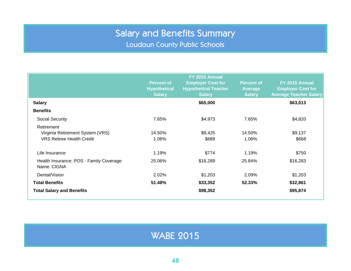Loudoun County Public Schools

<span id="page-47-0"></span>

|                                                                                    | <b>Percent of</b><br><b>Hypothetical</b><br><b>Salary</b> | FY 2015 Annual<br><b>Employer Cost for</b><br><b>Hypothetical Teacher</b><br><b>Salary</b> | <b>Percent of</b><br><b>Average</b><br><b>Salary</b> | FY 2015 Annual<br><b>Employer Cost for</b><br><b>Average Teacher Salary</b> |
|------------------------------------------------------------------------------------|-----------------------------------------------------------|--------------------------------------------------------------------------------------------|------------------------------------------------------|-----------------------------------------------------------------------------|
| <b>Salary</b>                                                                      |                                                           | \$65,000                                                                                   |                                                      | \$63,013                                                                    |
| <b>Benefits</b>                                                                    |                                                           |                                                                                            |                                                      |                                                                             |
| Social Security                                                                    | 7.65%                                                     | \$4,973                                                                                    | 7.65%                                                | \$4,820                                                                     |
| Retirement<br>Virginia Retirement System (VRS)<br><b>VRS Retiree Health Credit</b> | 14.50%<br>1.06%                                           | \$9,425<br>\$689                                                                           | 14.50%<br>1.06%                                      | \$9,137<br>\$668                                                            |
| Life Insurance                                                                     | 1.19%                                                     | \$774                                                                                      | 1.19%                                                | \$750                                                                       |
| Health Insurance: POS - Family Coverage<br>Name: CIGNA                             | 25.06%                                                    | \$16,289                                                                                   | 25.84%                                               | \$16,283                                                                    |
| Dental/Vision                                                                      | 2.02%                                                     | \$1,203                                                                                    | 2.09%                                                | \$1,203                                                                     |
| <b>Total Benefits</b>                                                              | 51.48%                                                    | \$33,352                                                                                   | 52.33%                                               | \$32,861                                                                    |
| <b>Total Salary and Benefits</b>                                                   |                                                           | \$98,352                                                                                   |                                                      | \$95,874                                                                    |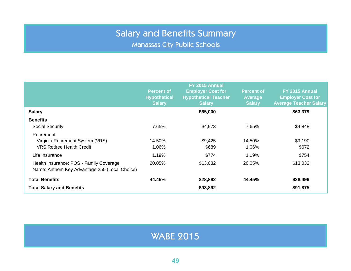Manassas City Public Schools

<span id="page-48-0"></span>

|                                                                                          | <b>Percent of</b><br><b>Hypothetical</b><br><b>Salary</b> | FY 2015 Annual<br><b>Employer Cost for</b><br><b>Hypothetical Teacher</b><br><b>Salary</b> | <b>Percent of</b><br><b>Average</b><br><b>Salary</b> | FY 2015 Annual<br><b>Employer Cost for</b><br><b>Average Teacher Salary</b> |
|------------------------------------------------------------------------------------------|-----------------------------------------------------------|--------------------------------------------------------------------------------------------|------------------------------------------------------|-----------------------------------------------------------------------------|
| <b>Salary</b>                                                                            |                                                           | \$65,000                                                                                   |                                                      | \$63,379                                                                    |
| <b>Benefits</b>                                                                          |                                                           |                                                                                            |                                                      |                                                                             |
| <b>Social Security</b>                                                                   | 7.65%                                                     | \$4,973                                                                                    | 7.65%                                                | \$4,848                                                                     |
| Retirement<br>Virginia Retirement System (VRS)<br><b>VRS Retiree Health Credit</b>       | 14.50%<br>1.06%                                           | \$9,425<br>\$689                                                                           | 14.50%<br>1.06%                                      | \$9,190<br>\$672                                                            |
| Life Insurance                                                                           | 1.19%                                                     | \$774                                                                                      | 1.19%                                                | \$754                                                                       |
| Health Insurance: POS - Family Coverage<br>Name: Anthem Key Advantage 250 (Local Choice) | 20.05%                                                    | \$13,032                                                                                   | 20.05%                                               | \$13,032                                                                    |
| <b>Total Benefits</b>                                                                    | 44.45%                                                    | \$28,892                                                                                   | 44.45%                                               | \$28,496                                                                    |
| <b>Total Salary and Benefits</b>                                                         |                                                           | \$93,892                                                                                   |                                                      | \$91,875                                                                    |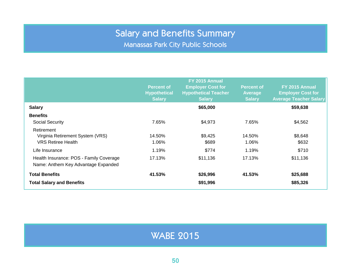Manassas Park City Public Schools

<span id="page-49-0"></span>

|                                                                                | <b>Percent of</b><br><b>Hypothetical</b><br><b>Salary</b> | FY 2015 Annual<br><b>Employer Cost for</b><br><b>Hypothetical Teacher</b><br><b>Salary</b> | <b>Percent of</b><br><b>Average</b><br><b>Salary</b> | FY 2015 Annual<br><b>Employer Cost for</b><br><b>Average Teacher Salary</b> |
|--------------------------------------------------------------------------------|-----------------------------------------------------------|--------------------------------------------------------------------------------------------|------------------------------------------------------|-----------------------------------------------------------------------------|
| <b>Salary</b>                                                                  |                                                           | \$65,000                                                                                   |                                                      | \$59,638                                                                    |
| <b>Benefits</b>                                                                |                                                           |                                                                                            |                                                      |                                                                             |
| <b>Social Security</b>                                                         | 7.65%                                                     | \$4,973                                                                                    | 7.65%                                                | \$4,562                                                                     |
| Retirement<br>Virginia Retirement System (VRS)<br><b>VRS Retiree Health</b>    | 14.50%<br>1.06%                                           | \$9,425<br>\$689                                                                           | 14.50%<br>1.06%                                      | \$8,648<br>\$632                                                            |
| Life Insurance                                                                 | 1.19%                                                     | \$774                                                                                      | 1.19%                                                | \$710                                                                       |
| Health Insurance: POS - Family Coverage<br>Name: Anthem Key Advantage Expanded | 17.13%                                                    | \$11,136                                                                                   | 17.13%                                               | \$11,136                                                                    |
| <b>Total Benefits</b>                                                          | 41.53%                                                    | \$26,996                                                                                   | 41.53%                                               | \$25,688                                                                    |
| <b>Total Salary and Benefits</b>                                               |                                                           | \$91,996                                                                                   |                                                      | \$85,326                                                                    |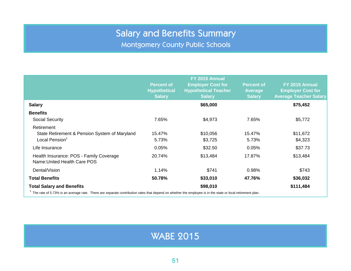Montgomery County Public Schools

<span id="page-50-0"></span>

|                                                                                                                                                                | <b>Percent of</b><br><b>Hypothetical</b><br><b>Salary</b> | FY 2015 Annual<br><b>Employer Cost for</b><br><b>Hypothetical Teacher</b><br><b>Salary</b> | <b>Percent of</b><br><b>Average</b><br><b>Salary</b> | FY 2015 Annual<br><b>Employer Cost for</b><br><b>Average Teacher Salary</b> |
|----------------------------------------------------------------------------------------------------------------------------------------------------------------|-----------------------------------------------------------|--------------------------------------------------------------------------------------------|------------------------------------------------------|-----------------------------------------------------------------------------|
| <b>Salary</b>                                                                                                                                                  |                                                           | \$65,000                                                                                   |                                                      | \$75,452                                                                    |
| <b>Benefits</b><br>Social Security                                                                                                                             | 7.65%                                                     | \$4,973                                                                                    | 7.65%                                                | \$5,772                                                                     |
| Retirement<br>State Retirement & Pension System of Maryland<br>Local Pension <sup>1</sup>                                                                      | 15.47%<br>5.73%                                           | \$10,056<br>\$3,725                                                                        | 15.47%<br>5.73%                                      | \$11,672<br>\$4,323                                                         |
| Life Insurance                                                                                                                                                 | 0.05%                                                     | \$32.50                                                                                    | 0.05%                                                | \$37.73                                                                     |
| Health Insurance: POS - Family Coverage<br>Name: United Health Care POS                                                                                        | 20.74%                                                    | \$13,484                                                                                   | 17.87%                                               | \$13,484                                                                    |
| Dental/Vision                                                                                                                                                  | 1.14%                                                     | \$741                                                                                      | 0.98%                                                | \$743                                                                       |
| <b>Total Benefits</b>                                                                                                                                          | 50.78%                                                    | \$33,010                                                                                   | 47.76%                                               | \$36,032                                                                    |
| <b>Total Salary and Benefits</b>                                                                                                                               |                                                           | \$98,010                                                                                   |                                                      | \$111,484                                                                   |
| $\pm$ The rate of 5.72% is an average rate. There are separate contribution rates that depend on whather the employee is in the state or local retirement plan |                                                           |                                                                                            |                                                      |                                                                             |

#### <sup>1</sup> The rate of 5.73% is an average rate. There are separate contribution rates that depend on whether the employee is in the state or local retirement plan.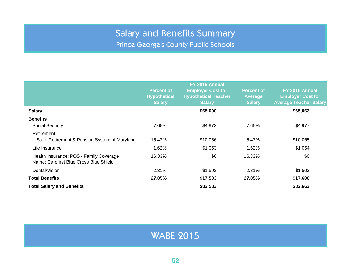Prince George's County Public Schools

<span id="page-51-0"></span>

|                                                                                   | <b>Percent of</b><br><b>Hypothetical</b><br><b>Salary</b> | FY 2015 Annual<br><b>Employer Cost for</b><br><b>Hypothetical Teacher</b><br><b>Salary</b> | <b>Percent of</b><br><b>Average</b><br><b>Salary</b> | FY 2015 Annual<br><b>Employer Cost for</b><br><b>Average Teacher Salary</b> |
|-----------------------------------------------------------------------------------|-----------------------------------------------------------|--------------------------------------------------------------------------------------------|------------------------------------------------------|-----------------------------------------------------------------------------|
| <b>Salary</b>                                                                     |                                                           | \$65,000                                                                                   |                                                      | \$65,063                                                                    |
| <b>Benefits</b>                                                                   |                                                           |                                                                                            |                                                      |                                                                             |
| <b>Social Security</b>                                                            | 7.65%                                                     | \$4,973                                                                                    | 7.65%                                                | \$4,977                                                                     |
| Retirement                                                                        |                                                           |                                                                                            |                                                      |                                                                             |
| State Retirement & Pension System of Maryland                                     | 15.47%                                                    | \$10,056                                                                                   | 15.47%                                               | \$10,065                                                                    |
| Life Insurance                                                                    | 1.62%                                                     | \$1,053                                                                                    | 1.62%                                                | \$1,054                                                                     |
| Health Insurance: POS - Family Coverage<br>Name: Carefirst Blue Cross Blue Shield | 16.33%                                                    | \$0                                                                                        | 16.33%                                               | \$0                                                                         |
| Dental/Vision                                                                     | 2.31%                                                     | \$1,502                                                                                    | 2.31%                                                | \$1,503                                                                     |
| <b>Total Benefits</b>                                                             | 27.05%                                                    | \$17,583                                                                                   | 27.05%                                               | \$17,600                                                                    |
| <b>Total Salary and Benefits</b>                                                  |                                                           | \$82,583                                                                                   |                                                      | \$82,663                                                                    |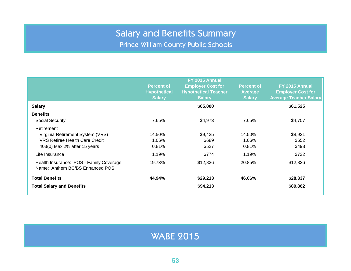Prince William County Public Schools

<span id="page-52-0"></span>

|                                                                                                                         | <b>Percent of</b><br><b>Hypothetical</b><br><b>Salary</b> | FY 2015 Annual<br><b>Employer Cost for</b><br><b>Hypothetical Teacher</b><br><b>Salary</b> | <b>Percent of</b><br><b>Average</b><br><b>Salary</b> | FY 2015 Annual<br><b>Employer Cost for</b><br><b>Average Teacher Salary</b> |
|-------------------------------------------------------------------------------------------------------------------------|-----------------------------------------------------------|--------------------------------------------------------------------------------------------|------------------------------------------------------|-----------------------------------------------------------------------------|
| <b>Salary</b>                                                                                                           |                                                           | \$65,000                                                                                   |                                                      | \$61,525                                                                    |
| <b>Benefits</b><br><b>Social Security</b>                                                                               | 7.65%                                                     | \$4,973                                                                                    | 7.65%                                                | \$4,707                                                                     |
| Retirement<br>Virginia Retirement System (VRS)<br><b>VRS Retiree Health Care Credit</b><br>403(b) Max 2% after 15 years | 14.50%<br>1.06%<br>0.81%                                  | \$9,425<br>\$689<br>\$527                                                                  | 14.50%<br>1.06%<br>0.81%                             | \$8,921<br>\$652<br>\$498                                                   |
| Life Insurance                                                                                                          | 1.19%                                                     | \$774                                                                                      | 1.19%                                                | \$732                                                                       |
| Health Insurance: POS - Family Coverage<br>Name: Anthem BC/BS Enhanced POS                                              | 19.73%                                                    | \$12,826                                                                                   | 20.85%                                               | \$12,826                                                                    |
| <b>Total Benefits</b>                                                                                                   | 44.94%                                                    | \$29,213                                                                                   | 46.06%                                               | \$28,337                                                                    |
| <b>Total Salary and Benefits</b>                                                                                        |                                                           | \$94,213                                                                                   |                                                      | \$89,862                                                                    |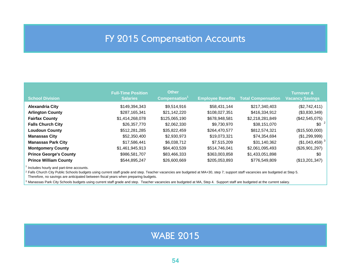### FY 2015 Compensation Accounts

<span id="page-53-0"></span>

| <b>School Division</b>        | <b>Full-Time Position</b><br><b>Salaries</b> | <b>Other</b><br>Compensation <sup>1</sup> | <b>Employee Benefits</b> | <b>Total Compensation</b> | <b>Turnover &amp;</b><br><b>Vacancy Savings</b> |
|-------------------------------|----------------------------------------------|-------------------------------------------|--------------------------|---------------------------|-------------------------------------------------|
| <b>Alexandria City</b>        | \$149,394,343                                | \$9.514.916                               | \$58,431,144             | \$217,340,403             | (\$2,742,411)                                   |
| <b>Arlington County</b>       | \$287,165,341                                | \$21,142,220                              | \$108,027,351            | \$416,334,912             | (\$3,830,349)                                   |
| <b>Fairfax County</b>         | \$1,414,268,078                              | \$125,065,190                             | \$678,948,581            | \$2,218,281,849           | (\$42,545,075)                                  |
| <b>Falls Church City</b>      | \$26,357,770                                 | \$2.062.330                               | \$9,730,970              | \$38,151,070              | $$0^{-2}$                                       |
| <b>Loudoun County</b>         | \$512,281,285                                | \$35,822,459                              | \$264,470,577            | \$812,574,321             | (\$15,500,000)                                  |
| <b>Manassas City</b>          | \$52,350,400                                 | \$2,930,973                               | \$19,073,321             | \$74,354,694              | (\$1,299,999)                                   |
| <b>Manassas Park City</b>     | \$17,586,441                                 | \$6,038,712                               | \$7,515,209              | \$31,140,362              | $($1,043,459)$ <sup>3</sup>                     |
| <b>Montgomery County</b>      | \$1,461,945,913                              | \$84,403,539                              | \$514,746,041            | \$2,061,095,493           | (\$26,901,297)                                  |
| <b>Prince George's County</b> | \$986,581,707                                | \$83,466,333                              | \$363,003,858            | \$1,433,051,898           | \$0                                             |
| <b>Prince William County</b>  | \$544,895,247                                | \$26,600,669                              | \$205,053,893            | \$776,549,809             | (\$13,201,347)                                  |

 $1$  Includes hourly and part-time accounts.

<sup>2</sup> Falls Church City Public Schools budgets using current staff grade and step. Teacher vacancies are budgeted at MA+30, step 7; support staff vacancies are budgeted at Step 5. Therefore, no savings are anticipated between fiscal years when preparing budgets.

<sup>3</sup> Manassas Park City Schools budgets using current staff grade and step. Teacher vacancies are budgeted at MA, Step 4. Support staff are budgeted at the current salary.